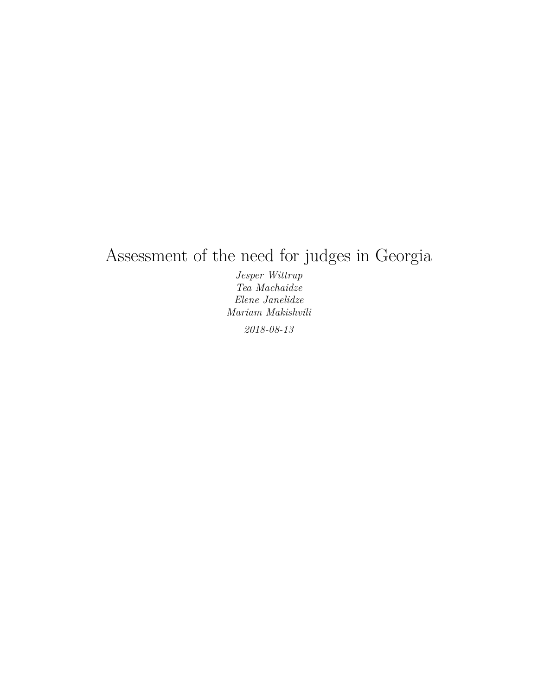## Assessment of the need for judges in Georgia

*Jesper Wittrup Tea Machaidze Elene Janelidze Mariam Makishvili 2018-08-13*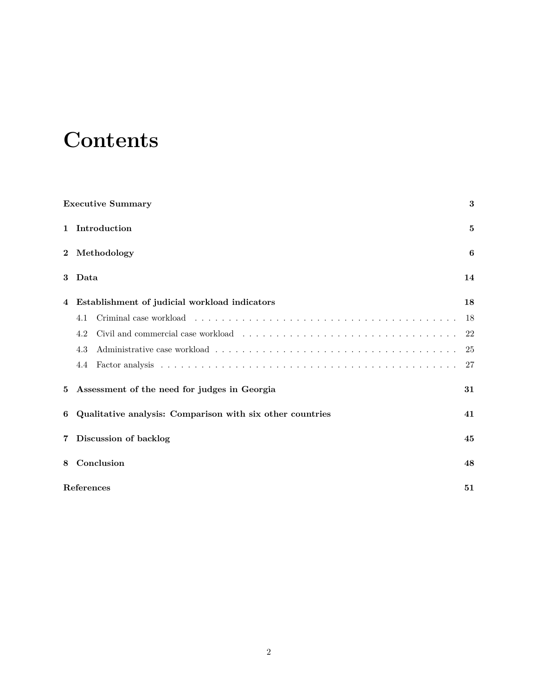# **Contents**

|                |            | <b>Executive Summary</b>                                  | $\bf{3}$ |
|----------------|------------|-----------------------------------------------------------|----------|
| $\mathbf{1}$   |            | Introduction                                              | 5        |
| $\overline{2}$ |            | Methodology                                               | 6        |
| 3              | Data       |                                                           | 14       |
| 4              |            | Establishment of judicial workload indicators             | 18       |
|                | 4.1        |                                                           | 18       |
|                | 4.2        |                                                           | 22       |
|                | 4.3        |                                                           | 25       |
|                | 4.4        |                                                           | 27       |
| 5              |            | Assessment of the need for judges in Georgia              | 31       |
| 6              |            | Qualitative analysis: Comparison with six other countries | 41       |
| $\overline{7}$ |            | Discussion of backlog                                     | 45       |
| 8              |            | Conclusion                                                | 48       |
|                | References |                                                           | 51       |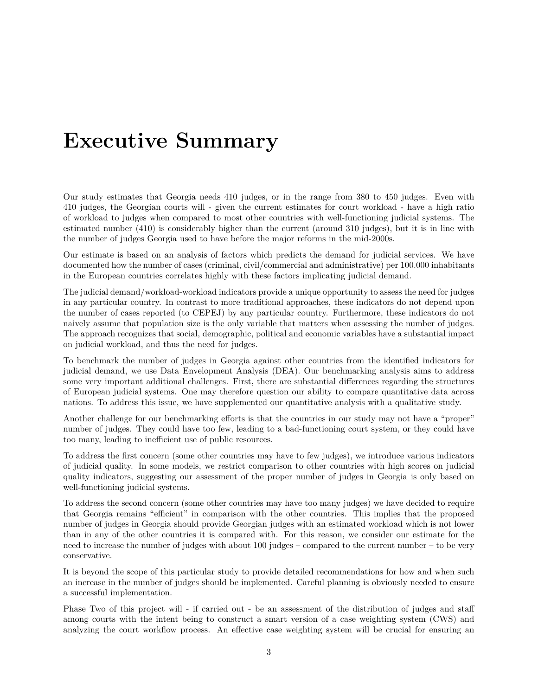## <span id="page-2-0"></span>**Executive Summary**

Our study estimates that Georgia needs 410 judges, or in the range from 380 to 450 judges. Even with 410 judges, the Georgian courts will - given the current estimates for court workload - have a high ratio of workload to judges when compared to most other countries with well-functioning judicial systems. The estimated number (410) is considerably higher than the current (around 310 judges), but it is in line with the number of judges Georgia used to have before the major reforms in the mid-2000s.

Our estimate is based on an analysis of factors which predicts the demand for judicial services. We have documented how the number of cases (criminal, civil/commercial and administrative) per 100.000 inhabitants in the European countries correlates highly with these factors implicating judicial demand.

The judicial demand/workload-workload indicators provide a unique opportunity to assess the need for judges in any particular country. In contrast to more traditional approaches, these indicators do not depend upon the number of cases reported (to CEPEJ) by any particular country. Furthermore, these indicators do not naively assume that population size is the only variable that matters when assessing the number of judges. The approach recognizes that social, demographic, political and economic variables have a substantial impact on judicial workload, and thus the need for judges.

To benchmark the number of judges in Georgia against other countries from the identified indicators for judicial demand, we use Data Envelopment Analysis (DEA). Our benchmarking analysis aims to address some very important additional challenges. First, there are substantial differences regarding the structures of European judicial systems. One may therefore question our ability to compare quantitative data across nations. To address this issue, we have supplemented our quantitative analysis with a qualitative study.

Another challenge for our benchmarking efforts is that the countries in our study may not have a "proper" number of judges. They could have too few, leading to a bad-functioning court system, or they could have too many, leading to inefficient use of public resources.

To address the first concern (some other countries may have to few judges), we introduce various indicators of judicial quality. In some models, we restrict comparison to other countries with high scores on judicial quality indicators, suggesting our assessment of the proper number of judges in Georgia is only based on well-functioning judicial systems.

To address the second concern (some other countries may have too many judges) we have decided to require that Georgia remains "efficient" in comparison with the other countries. This implies that the proposed number of judges in Georgia should provide Georgian judges with an estimated workload which is not lower than in any of the other countries it is compared with. For this reason, we consider our estimate for the need to increase the number of judges with about 100 judges – compared to the current number – to be very conservative.

It is beyond the scope of this particular study to provide detailed recommendations for how and when such an increase in the number of judges should be implemented. Careful planning is obviously needed to ensure a successful implementation.

Phase Two of this project will - if carried out - be an assessment of the distribution of judges and staff among courts with the intent being to construct a smart version of a case weighting system (CWS) and analyzing the court workflow process. An effective case weighting system will be crucial for ensuring an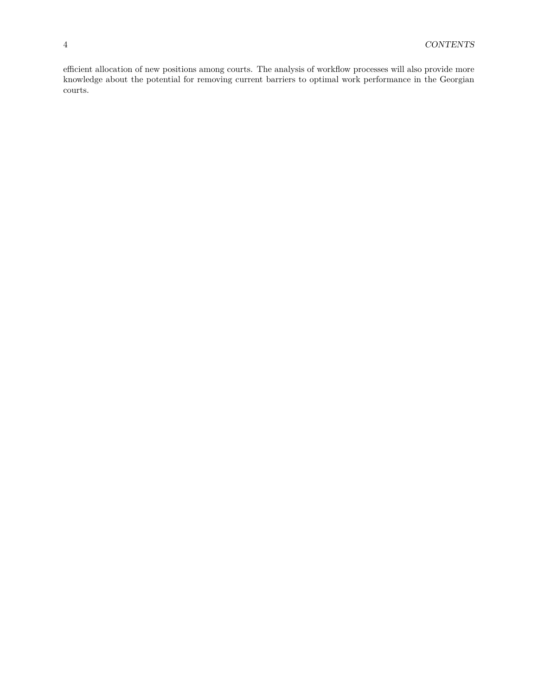efficient allocation of new positions among courts. The analysis of workflow processes will also provide more knowledge about the potential for removing current barriers to optimal work performance in the Georgian courts.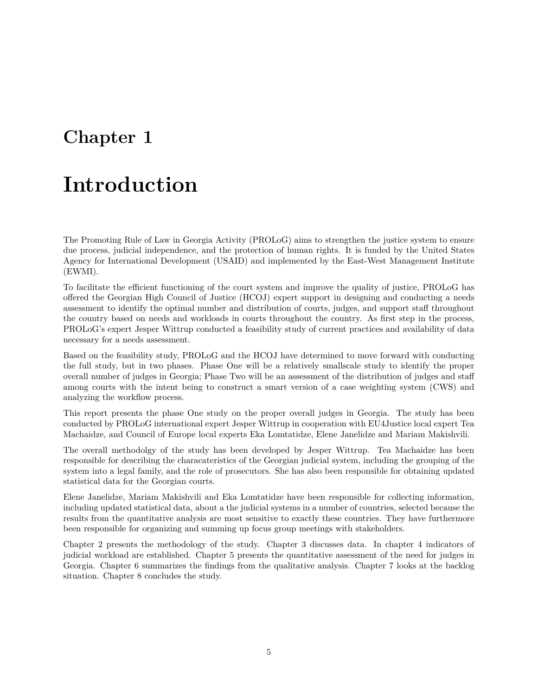### <span id="page-4-0"></span>**Chapter 1**

## **Introduction**

The Promoting Rule of Law in Georgia Activity (PROLoG) aims to strengthen the justice system to ensure due process, judicial independence, and the protection of human rights. It is funded by the United States Agency for International Development (USAID) and implemented by the East-West Management Institute (EWMI).

To facilitate the efficient functioning of the court system and improve the quality of justice, PROLoG has offered the Georgian High Council of Justice (HCOJ) expert support in designing and conducting a needs assessment to identify the optimal number and distribution of courts, judges, and support staff throughout the country based on needs and workloads in courts throughout the country. As first step in the process, PROLoG's expert Jesper Wittrup conducted a feasibility study of current practices and availability of data necessary for a needs assessment.

Based on the feasibility study, PROLoG and the HCOJ have determined to move forward with conducting the full study, but in two phases. Phase One will be a relatively smallscale study to identify the proper overall number of judges in Georgia; Phase Two will be an assessment of the distribution of judges and staff among courts with the intent being to construct a smart version of a case weighting system (CWS) and analyzing the workflow process.

This report presents the phase One study on the proper overall judges in Georgia. The study has been conducted by PROLoG international expert Jesper Wittrup in cooperation with EU4Justice local expert Tea Machaidze, and Council of Europe local experts Eka Lomtatidze, Elene Janelidze and Mariam Makishvili.

The overall methodolgy of the study has been developed by Jesper Wittrup. Tea Machaidze has been responsible for describing the characateristics of the Georgian judicial system, including the grouping of the system into a legal family, and the role of prosecutors. She has also been responsible for obtaining updated statistical data for the Georgian courts.

Elene Janelidze, Mariam Makishvili and Eka Lomtatidze have been responsible for collecting information, including updated statistical data, about a the judicial systems in a number of countries, selected because the results from the quantitative analysis are most sensitive to exactly these countries. They have furthermore been responsible for organizing and summing up focus group meetings with stakeholders.

Chapter 2 presents the methodology of the study. Chapter 3 discusses data. In chapter 4 indicators of judicial workload are established. Chapter 5 presents the quantitative assessment of the need for judges in Georgia. Chapter 6 summarizes the findings from the qualitative analysis. Chapter 7 looks at the backlog situation. Chapter 8 concludes the study.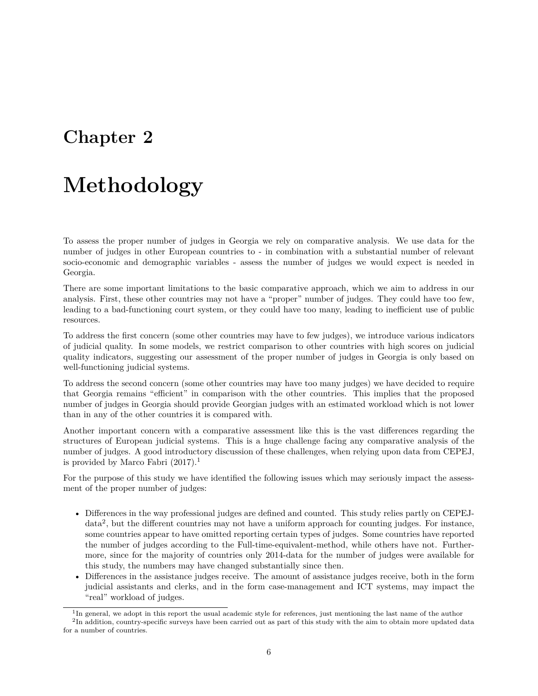### <span id="page-5-0"></span>**Chapter 2**

## **Methodology**

To assess the proper number of judges in Georgia we rely on comparative analysis. We use data for the number of judges in other European countries to - in combination with a substantial number of relevant socio-economic and demographic variables - assess the number of judges we would expect is needed in Georgia.

There are some important limitations to the basic comparative approach, which we aim to address in our analysis. First, these other countries may not have a "proper" number of judges. They could have too few, leading to a bad-functioning court system, or they could have too many, leading to inefficient use of public resources.

To address the first concern (some other countries may have to few judges), we introduce various indicators of judicial quality. In some models, we restrict comparison to other countries with high scores on judicial quality indicators, suggesting our assessment of the proper number of judges in Georgia is only based on well-functioning judicial systems.

To address the second concern (some other countries may have too many judges) we have decided to require that Georgia remains "efficient" in comparison with the other countries. This implies that the proposed number of judges in Georgia should provide Georgian judges with an estimated workload which is not lower than in any of the other countries it is compared with.

Another important concern with a comparative assessment like this is the vast differences regarding the structures of European judicial systems. This is a huge challenge facing any comparative analysis of the number of judges. A good introductory discussion of these challenges, when relying upon data from CEPEJ, is provided by Marco Fabri  $(2017).$  $(2017).$  $(2017).$ <sup>1</sup>

For the purpose of this study we have identified the following issues which may seriously impact the assessment of the proper number of judges:

- Differences in the way professional judges are defined and counted. This study relies partly on CEPEJ-data<sup>[2](#page-5-2)</sup>, but the different countries may not have a uniform approach for counting judges. For instance, some countries appear to have omitted reporting certain types of judges. Some countries have reported the number of judges according to the Full-time-equivalent-method, while others have not. Furthermore, since for the majority of countries only 2014-data for the number of judges were available for this study, the numbers may have changed substantially since then.
- Differences in the assistance judges receive. The amount of assistance judges receive, both in the form judicial assistants and clerks, and in the form case-management and ICT systems, may impact the "real" workload of judges.

<span id="page-5-2"></span><span id="page-5-1"></span><sup>&</sup>lt;sup>1</sup>In general, we adopt in this report the usual academic style for references, just mentioning the last name of the author  ${}^{2}$ In addition, country-specific surveys have been carried out as part of this study with the aim to obtain more updated data for a number of countries.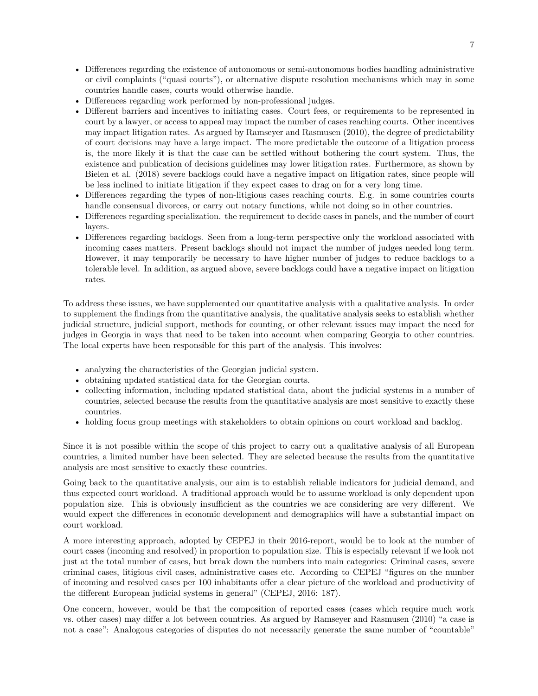- Differences regarding the existence of autonomous or semi-autonomous bodies handling administrative or civil complaints ("quasi courts"), or alternative dispute resolution mechanisms which may in some countries handle cases, courts would otherwise handle.
- Differences regarding work performed by non-professional judges.
- Different barriers and incentives to initiating cases. Court fees, or requirements to be represented in court by a lawyer, or access to appeal may impact the number of cases reaching courts. Other incentives may impact litigation rates. As argued by Ramseyer and Rasmusen (2010), the degree of predictability of court decisions may have a large impact. The more predictable the outcome of a litigation process is, the more likely it is that the case can be settled without bothering the court system. Thus, the existence and publication of decisions guidelines may lower litigation rates. Furthermore, as shown by Bielen et al. (2018) severe backlogs could have a negative impact on litigation rates, since people will be less inclined to initiate litigation if they expect cases to drag on for a very long time.
- Differences regarding the types of non-litigious cases reaching courts. E.g. in some countries courts handle consensual divorces, or carry out notary functions, while not doing so in other countries.
- Differences regarding specialization. the requirement to decide cases in panels, and the number of court layers.
- Differences regarding backlogs. Seen from a long-term perspective only the workload associated with incoming cases matters. Present backlogs should not impact the number of judges needed long term. However, it may temporarily be necessary to have higher number of judges to reduce backlogs to a tolerable level. In addition, as argued above, severe backlogs could have a negative impact on litigation rates.

To address these issues, we have supplemented our quantitative analysis with a qualitative analysis. In order to supplement the findings from the quantitative analysis, the qualitative analysis seeks to establish whether judicial structure, judicial support, methods for counting, or other relevant issues may impact the need for judges in Georgia in ways that need to be taken into account when comparing Georgia to other countries. The local experts have been responsible for this part of the analysis. This involves:

- analyzing the characteristics of the Georgian judicial system.
- obtaining updated statistical data for the Georgian courts.
- collecting information, including updated statistical data, about the judicial systems in a number of countries, selected because the results from the quantitative analysis are most sensitive to exactly these countries.
- holding focus group meetings with stakeholders to obtain opinions on court workload and backlog.

Since it is not possible within the scope of this project to carry out a qualitative analysis of all European countries, a limited number have been selected. They are selected because the results from the quantitative analysis are most sensitive to exactly these countries.

Going back to the quantitative analysis, our aim is to establish reliable indicators for judicial demand, and thus expected court workload. A traditional approach would be to assume workload is only dependent upon population size. This is obviously insufficient as the countries we are considering are very different. We would expect the differences in economic development and demographics will have a substantial impact on court workload.

A more interesting approach, adopted by CEPEJ in their 2016-report, would be to look at the number of court cases (incoming and resolved) in proportion to population size. This is especially relevant if we look not just at the total number of cases, but break down the numbers into main categories: Criminal cases, severe criminal cases, litigious civil cases, administrative cases etc. According to CEPEJ "figures on the number of incoming and resolved cases per 100 inhabitants offer a clear picture of the workload and productivity of the different European judicial systems in general" (CEPEJ, 2016: 187).

One concern, however, would be that the composition of reported cases (cases which require much work vs. other cases) may differ a lot between countries. As argued by Ramseyer and Rasmusen (2010) "a case is not a case": Analogous categories of disputes do not necessarily generate the same number of "countable"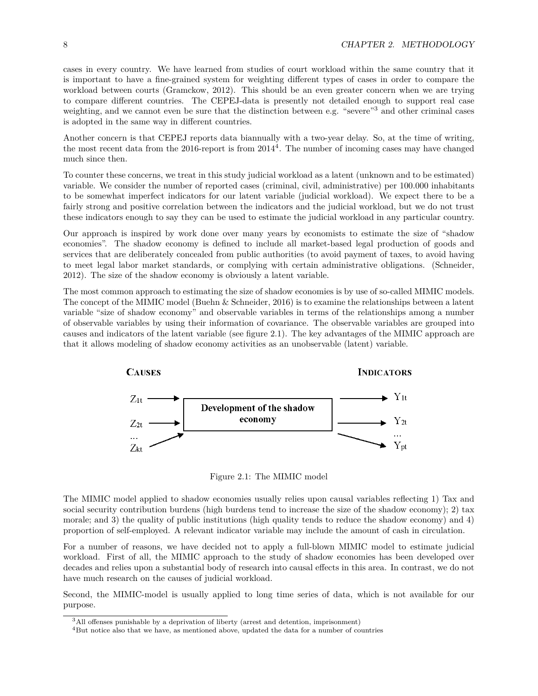cases in every country. We have learned from studies of court workload within the same country that it is important to have a fine-grained system for weighting different types of cases in order to compare the workload between courts (Gramckow, 2012). This should be an even greater concern when we are trying to compare different countries. The CEPEJ-data is presently not detailed enough to support real case weighting, and we cannot even be sure that the distinction between e.g. "severe"<sup>[3](#page-7-0)</sup> and other criminal cases is adopted in the same way in different countries.

Another concern is that CEPEJ reports data biannually with a two-year delay. So, at the time of writing, the most recent data from the 2016-report is from  $2014^4$  $2014^4$  $2014^4$ . The number of incoming cases may have changed much since then.

To counter these concerns, we treat in this study judicial workload as a latent (unknown and to be estimated) variable. We consider the number of reported cases (criminal, civil, administrative) per 100.000 inhabitants to be somewhat imperfect indicators for our latent variable (judicial workload). We expect there to be a fairly strong and positive correlation between the indicators and the judicial workload, but we do not trust these indicators enough to say they can be used to estimate the judicial workload in any particular country.

Our approach is inspired by work done over many years by economists to estimate the size of "shadow economies". The shadow economy is defined to include all market-based legal production of goods and services that are deliberately concealed from public authorities (to avoid payment of taxes, to avoid having to meet legal labor market standards, or complying with certain administrative obligations. (Schneider, 2012). The size of the shadow economy is obviously a latent variable.

The most common approach to estimating the size of shadow economies is by use of so-called MIMIC models. The concept of the MIMIC model (Buehn & Schneider, 2016) is to examine the relationships between a latent variable "size of shadow economy" and observable variables in terms of the relationships among a number of observable variables by using their information of covariance. The observable variables are grouped into causes and indicators of the latent variable (see figure [2.1\)](#page-7-2). The key advantages of the MIMIC approach are that it allows modeling of shadow economy activities as an unobservable (latent) variable.

<span id="page-7-2"></span>

Figure 2.1: The MIMIC model

The MIMIC model applied to shadow economies usually relies upon causal variables reflecting 1) Tax and social security contribution burdens (high burdens tend to increase the size of the shadow economy); 2) tax morale; and 3) the quality of public institutions (high quality tends to reduce the shadow economy) and 4) proportion of self-employed. A relevant indicator variable may include the amount of cash in circulation.

For a number of reasons, we have decided not to apply a full-blown MIMIC model to estimate judicial workload. First of all, the MIMIC approach to the study of shadow economies has been developed over decades and relies upon a substantial body of research into causal effects in this area. In contrast, we do not have much research on the causes of judicial workload.

Second, the MIMIC-model is usually applied to long time series of data, which is not available for our purpose.

<span id="page-7-0"></span><sup>3</sup>All offenses punishable by a deprivation of liberty (arrest and detention, imprisonment)

<span id="page-7-1"></span><sup>4</sup>But notice also that we have, as mentioned above, updated the data for a number of countries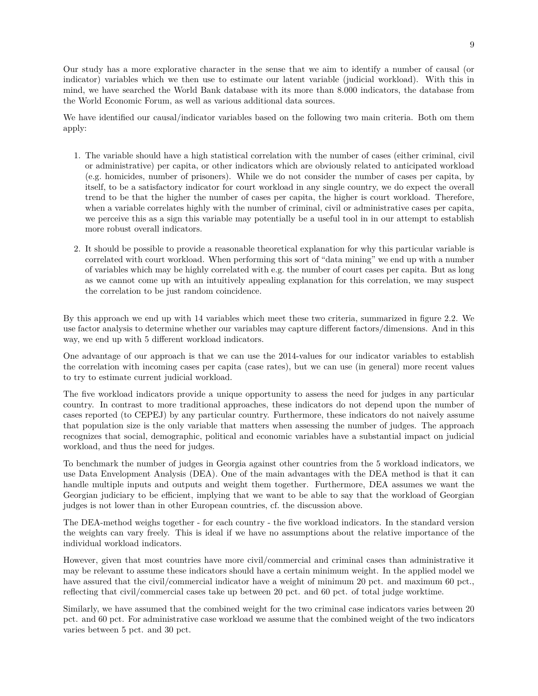Our study has a more explorative character in the sense that we aim to identify a number of causal (or indicator) variables which we then use to estimate our latent variable (judicial workload). With this in mind, we have searched the World Bank database with its more than 8.000 indicators, the database from the World Economic Forum, as well as various additional data sources.

We have identified our causal/indicator variables based on the following two main criteria. Both om them apply:

- 1. The variable should have a high statistical correlation with the number of cases (either criminal, civil or administrative) per capita, or other indicators which are obviously related to anticipated workload (e.g. homicides, number of prisoners). While we do not consider the number of cases per capita, by itself, to be a satisfactory indicator for court workload in any single country, we do expect the overall trend to be that the higher the number of cases per capita, the higher is court workload. Therefore, when a variable correlates highly with the number of criminal, civil or administrative cases per capita, we perceive this as a sign this variable may potentially be a useful tool in in our attempt to establish more robust overall indicators.
- 2. It should be possible to provide a reasonable theoretical explanation for why this particular variable is correlated with court workload. When performing this sort of "data mining" we end up with a number of variables which may be highly correlated with e.g. the number of court cases per capita. But as long as we cannot come up with an intuitively appealing explanation for this correlation, we may suspect the correlation to be just random coincidence.

By this approach we end up with 14 variables which meet these two criteria, summarized in figure [2.2.](#page-10-0) We use factor analysis to determine whether our variables may capture different factors/dimensions. And in this way, we end up with 5 different workload indicators.

One advantage of our approach is that we can use the 2014-values for our indicator variables to establish the correlation with incoming cases per capita (case rates), but we can use (in general) more recent values to try to estimate current judicial workload.

The five workload indicators provide a unique opportunity to assess the need for judges in any particular country. In contrast to more traditional approaches, these indicators do not depend upon the number of cases reported (to CEPEJ) by any particular country. Furthermore, these indicators do not naively assume that population size is the only variable that matters when assessing the number of judges. The approach recognizes that social, demographic, political and economic variables have a substantial impact on judicial workload, and thus the need for judges.

To benchmark the number of judges in Georgia against other countries from the 5 workload indicators, we use Data Envelopment Analysis (DEA). One of the main advantages with the DEA method is that it can handle multiple inputs and outputs and weight them together. Furthermore, DEA assumes we want the Georgian judiciary to be efficient, implying that we want to be able to say that the workload of Georgian judges is not lower than in other European countries, cf. the discussion above.

The DEA-method weighs together - for each country - the five workload indicators. In the standard version the weights can vary freely. This is ideal if we have no assumptions about the relative importance of the individual workload indicators.

However, given that most countries have more civil/commercial and criminal cases than administrative it may be relevant to assume these indicators should have a certain minimum weight. In the applied model we have assured that the civil/commercial indicator have a weight of minimum 20 pct. and maximum 60 pct., reflecting that civil/commercial cases take up between 20 pct. and 60 pct. of total judge worktime.

Similarly, we have assumed that the combined weight for the two criminal case indicators varies between 20 pct. and 60 pct. For administrative case workload we assume that the combined weight of the two indicators varies between 5 pct. and 30 pct.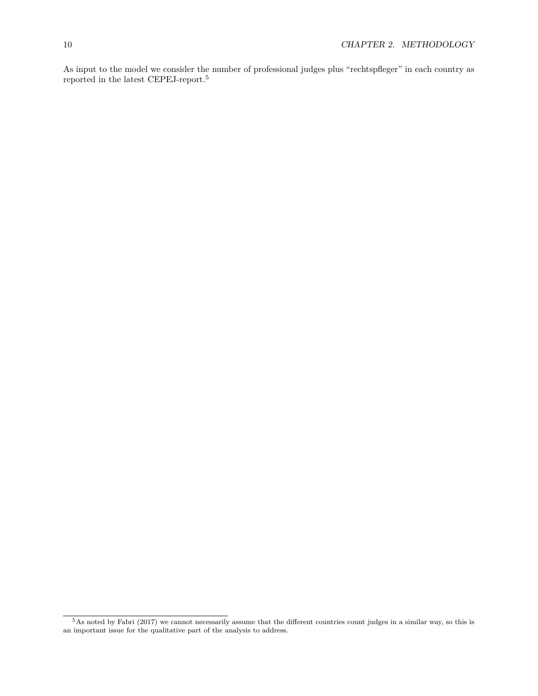As input to the model we consider the number of professional judges plus "rechtspfleger" in each country as reported in the latest CEPEJ-report.[5](#page-9-0)

<span id="page-9-0"></span> $5$ As noted by Fabri (2017) we cannot necessarily assume that the different countries count judges in a similar way, so this is an important issue for the qualitative part of the analysis to address.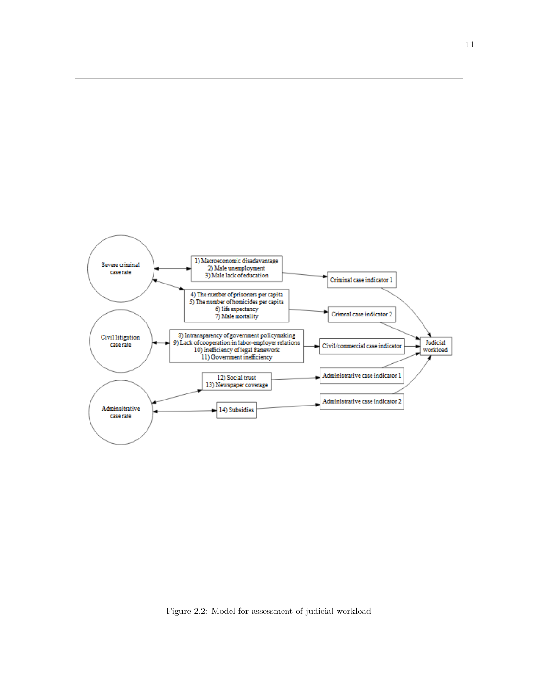<span id="page-10-0"></span>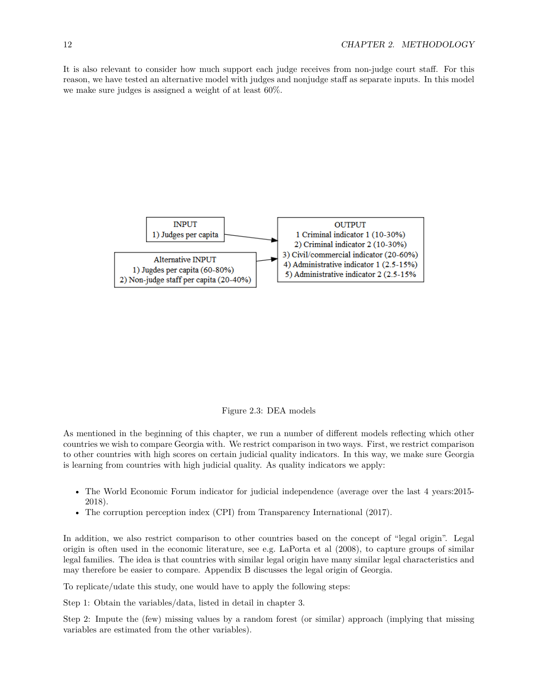It is also relevant to consider how much support each judge receives from non-judge court staff. For this reason, we have tested an alternative model with judges and nonjudge staff as separate inputs. In this model we make sure judges is assigned a weight of at least 60%.



#### Figure 2.3: DEA models

As mentioned in the beginning of this chapter, we run a number of different models reflecting which other countries we wish to compare Georgia with. We restrict comparison in two ways. First, we restrict comparison to other countries with high scores on certain judicial quality indicators. In this way, we make sure Georgia is learning from countries with high judicial quality. As quality indicators we apply:

- The World Economic Forum indicator for judicial independence (average over the last 4 years: 2015-2018).
- The corruption perception index (CPI) from Transparency International (2017).

In addition, we also restrict comparison to other countries based on the concept of "legal origin". Legal origin is often used in the economic literature, see e.g. LaPorta et al (2008), to capture groups of similar legal families. The idea is that countries with similar legal origin have many similar legal characteristics and may therefore be easier to compare. Appendix B discusses the legal origin of Georgia.

To replicate/udate this study, one would have to apply the following steps:

Step 1: Obtain the variables/data, listed in detail in chapter 3.

Step 2: Impute the (few) missing values by a random forest (or similar) approach (implying that missing variables are estimated from the other variables).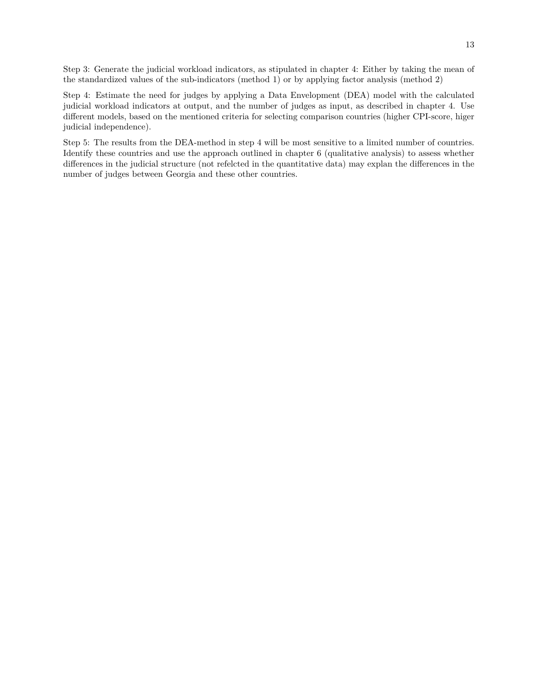Step 3: Generate the judicial workload indicators, as stipulated in chapter 4: Either by taking the mean of the standardized values of the sub-indicators (method 1) or by applying factor analysis (method 2)

Step 4: Estimate the need for judges by applying a Data Envelopment (DEA) model with the calculated judicial workload indicators at output, and the number of judges as input, as described in chapter 4. Use different models, based on the mentioned criteria for selecting comparison countries (higher CPI-score, higer judicial independence).

Step 5: The results from the DEA-method in step 4 will be most sensitive to a limited number of countries. Identify these countries and use the approach outlined in chapter 6 (qualitative analysis) to assess whether differences in the judicial structure (not refelcted in the quantitative data) may explan the differences in the number of judges between Georgia and these other countries.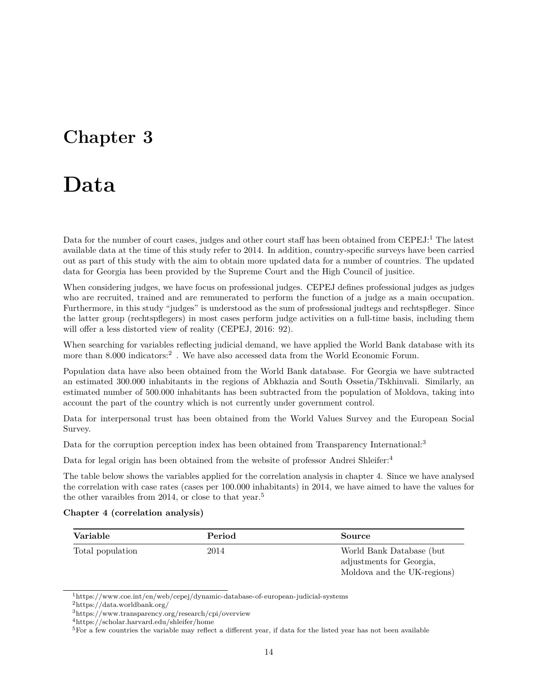### <span id="page-13-0"></span>**Chapter 3**

### **Data**

Data for the number of court cases, judges and other court staff has been obtained from CEPEJ:<sup>[1](#page-13-1)</sup> The latest available data at the time of this study refer to 2014. In addition, country-specific surveys have been carried out as part of this study with the aim to obtain more updated data for a number of countries. The updated data for Georgia has been provided by the Supreme Court and the High Council of jusitice.

When considering judges, we have focus on professional judges. CEPEJ defines professional judges as judges who are recruited, trained and are remunerated to perform the function of a judge as a main occupation. Furthermore, in this study "judges" is understood as the sum of professional judtegs and rechtspfleger. Since the latter group (rechtspflegers) in most cases perform judge activities on a full-time basis, including them will offer a less distorted view of reality (CEPEJ, 2016: 92).

When searching for variables reflecting judicial demand, we have applied the World Bank database with its more than 8.000 indicators:<sup>[2](#page-13-2)</sup>. We have also accessed data from the World Economic Forum.

Population data have also been obtained from the World Bank database. For Georgia we have subtracted an estimated 300.000 inhabitants in the regions of Abkhazia and South Ossetia/Tskhinvali. Similarly, an estimated number of 500.000 inhabitants has been subtracted from the population of Moldova, taking into account the part of the country which is not currently under government control.

Data for interpersonal trust has been obtained from the World Values Survey and the European Social Survey.

Data for the corruption perception index has been obtained from Transparency International:<sup>[3](#page-13-3)</sup>

Data for legal origin has been obtained from the website of professor Andrei Shleifer:<sup>[4](#page-13-4)</sup>

The table below shows the variables applied for the correlation analysis in chapter 4. Since we have analysed the correlation with case rates (cases per 100.000 inhabitants) in 2014, we have aimed to have the values for the other varaibles from 2014, or close to that year.<sup>[5](#page-13-5)</sup>

|  | Chapter 4 (correlation analysis) |  |  |
|--|----------------------------------|--|--|
|--|----------------------------------|--|--|

| Variable         | Period | Source                                                                              |
|------------------|--------|-------------------------------------------------------------------------------------|
| Total population | 2014   | World Bank Database (but<br>adjustments for Georgia,<br>Moldova and the UK-regions) |

<span id="page-13-1"></span><sup>1</sup><https://www.coe.int/en/web/cepej/dynamic-database-of-european-judicial-systems>

<span id="page-13-2"></span><sup>2</sup><https://data.worldbank.org/>

<span id="page-13-3"></span><sup>3</sup><https://www.transparency.org/research/cpi/overview>

<span id="page-13-4"></span><sup>4</sup><https://scholar.harvard.edu/shleifer/home>

<span id="page-13-5"></span> $5$ For a few countries the variable may reflect a different year, if data for the listed year has not been available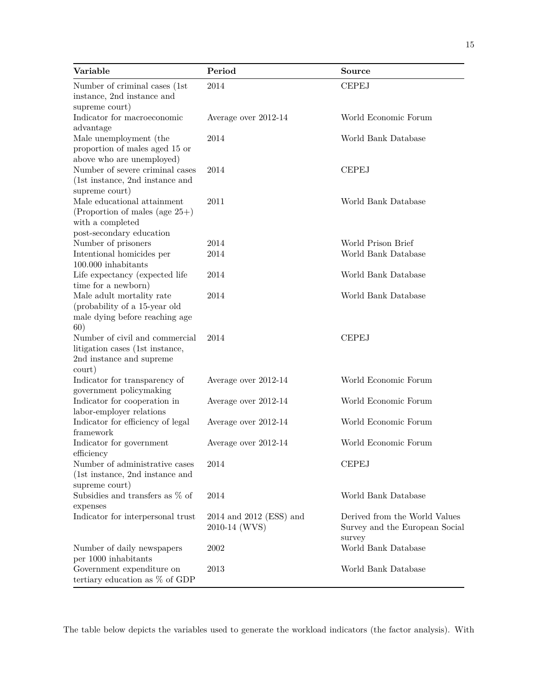| Variable                                                                                                         | Period                                       | Source                                                                    |
|------------------------------------------------------------------------------------------------------------------|----------------------------------------------|---------------------------------------------------------------------------|
| Number of criminal cases (1st<br>instance, 2nd instance and<br>supreme court)                                    | 2014                                         | <b>CEPEJ</b>                                                              |
| Indicator for macroeconomic<br>advantage                                                                         | Average over 2012-14                         | World Economic Forum                                                      |
| Male unemployment (the<br>proportion of males aged 15 or<br>above who are unemployed)                            | 2014                                         | World Bank Database                                                       |
| Number of severe criminal cases<br>(1st instance, 2nd instance and<br>supreme court)                             | 2014                                         | <b>CEPEJ</b>                                                              |
| Male educational attainment<br>(Proportion of males (age $25+$ )<br>with a completed<br>post-secondary education | 2011                                         | World Bank Database                                                       |
| Number of prisoners                                                                                              | 2014                                         | World Prison Brief                                                        |
| Intentional homicides per<br>100.000 inhabitants                                                                 | 2014                                         | World Bank Database                                                       |
| Life expectancy (expected life<br>time for a newborn)                                                            | 2014                                         | World Bank Database                                                       |
| Male adult mortality rate<br>(probability of a 15-year old<br>male dying before reaching age<br>60)              | 2014                                         | World Bank Database                                                       |
| Number of civil and commercial<br>litigation cases (1st instance,<br>2nd instance and supreme<br>court)          | 2014                                         | <b>CEPEJ</b>                                                              |
| Indicator for transparency of<br>government policymaking                                                         | Average over 2012-14                         | World Economic Forum                                                      |
| Indicator for cooperation in<br>labor-employer relations                                                         | Average over 2012-14                         | World Economic Forum                                                      |
| Indicator for efficiency of legal<br>framework                                                                   | Average over 2012-14                         | World Economic Forum                                                      |
| Indicator for government<br>efficiency                                                                           | Average over 2012-14                         | World Economic Forum                                                      |
| Number of administrative cases<br>(1st instance, 2nd instance and<br>supreme court)                              | 2014                                         | <b>CEPEJ</b>                                                              |
| Subsidies and transfers as $\%$ of<br>expenses                                                                   | 2014                                         | World Bank Database                                                       |
| Indicator for interpersonal trust                                                                                | $2014$ and $2012$ (ESS) and<br>2010-14 (WVS) | Derived from the World Values<br>Survey and the European Social<br>survey |
| Number of daily newspapers<br>per 1000 inhabitants                                                               | 2002                                         | World Bank Database                                                       |
| Government expenditure on<br>tertiary education as $\%$ of GDP                                                   | 2013                                         | World Bank Database                                                       |

The table below depicts the variables used to generate the workload indicators (the factor analysis). With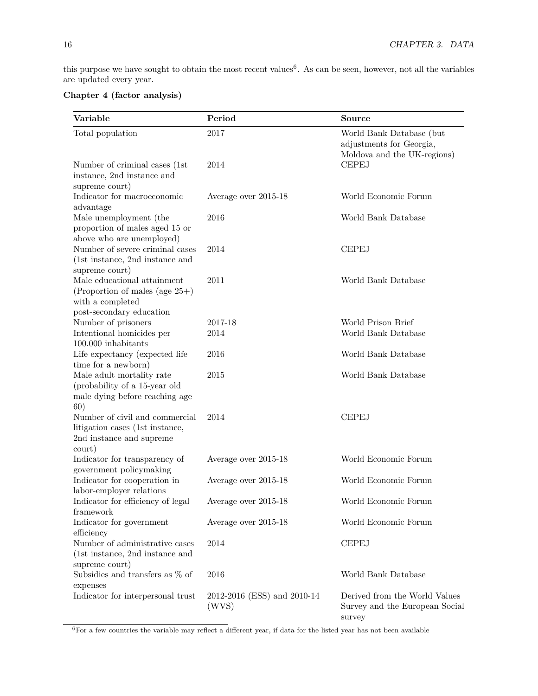this purpose we have sought to obtain the most recent values<sup>[6](#page-15-0)</sup>. As can be seen, however, not all the variables are updated every year.

#### **Chapter 4 (factor analysis)**

| Variable                                                                                                         | Period                               | <b>Source</b>                                                                       |
|------------------------------------------------------------------------------------------------------------------|--------------------------------------|-------------------------------------------------------------------------------------|
| Total population                                                                                                 | 2017                                 | World Bank Database (but<br>adjustments for Georgia,<br>Moldova and the UK-regions) |
| Number of criminal cases (1st<br>instance, 2nd instance and<br>supreme court)                                    | 2014                                 | <b>CEPEJ</b>                                                                        |
| Indicator for macroeconomic<br>advantage                                                                         | Average over 2015-18                 | World Economic Forum                                                                |
| Male unemployment (the<br>proportion of males aged 15 or<br>above who are unemployed)                            | 2016                                 | World Bank Database                                                                 |
| Number of severe criminal cases<br>$(1st$ instance, 2nd instance and<br>supreme court)                           | 2014                                 | <b>CEPEJ</b>                                                                        |
| Male educational attainment<br>(Proportion of males (age $25+$ )<br>with a completed<br>post-secondary education | 2011                                 | World Bank Database                                                                 |
| Number of prisoners                                                                                              | 2017-18                              | World Prison Brief                                                                  |
| Intentional homicides per<br>100.000 inhabitants                                                                 | 2014                                 | World Bank Database                                                                 |
| Life expectancy (expected life<br>time for a newborn)                                                            | 2016                                 | World Bank Database                                                                 |
| Male adult mortality rate<br>(probability of a 15-year old<br>male dying before reaching age<br>60)              | 2015                                 | World Bank Database                                                                 |
| Number of civil and commercial<br>litigation cases (1st instance,<br>2nd instance and supreme<br>court)          | 2014                                 | <b>CEPEJ</b>                                                                        |
| Indicator for transparency of<br>government policymaking                                                         | Average over 2015-18                 | World Economic Forum                                                                |
| Indicator for cooperation in<br>labor-employer relations                                                         | Average over 2015-18                 | World Economic Forum                                                                |
| Indicator for efficiency of legal<br>framework                                                                   | Average over 2015-18                 | World Economic Forum                                                                |
| Indicator for government<br>efficiency                                                                           | Average over 2015-18                 | World Economic Forum                                                                |
| Number of administrative cases<br>(1st instance, 2nd instance and<br>supreme court)                              | 2014                                 | <b>CEPEJ</b>                                                                        |
| Subsidies and transfers as $\%$ of<br>expenses                                                                   | 2016                                 | World Bank Database                                                                 |
| Indicator for interpersonal trust                                                                                | 2012-2016 (ESS) and 2010-14<br>(WVS) | Derived from the World Values<br>Survey and the European Social<br>survey           |

<span id="page-15-0"></span> ${}^{6}$ For a few countries the variable may reflect a different year, if data for the listed year has not been available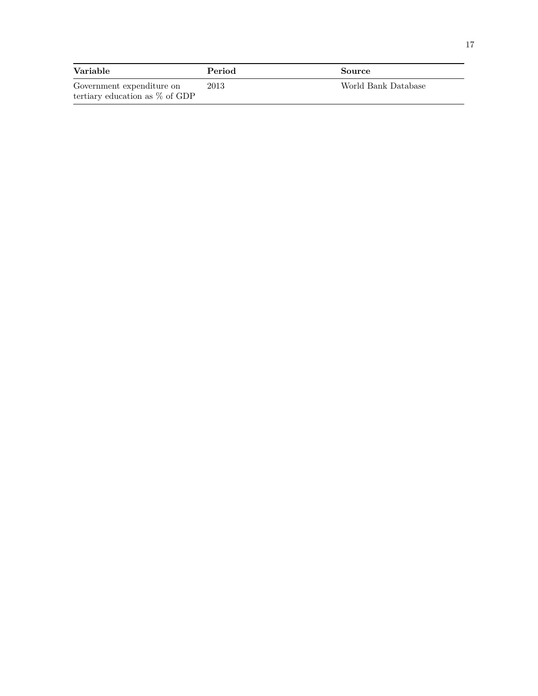| Variable                          | Period | Source              |
|-----------------------------------|--------|---------------------|
| Government expenditure on         | 2013   | World Bank Database |
| tertiary education as $\%$ of GDP |        |                     |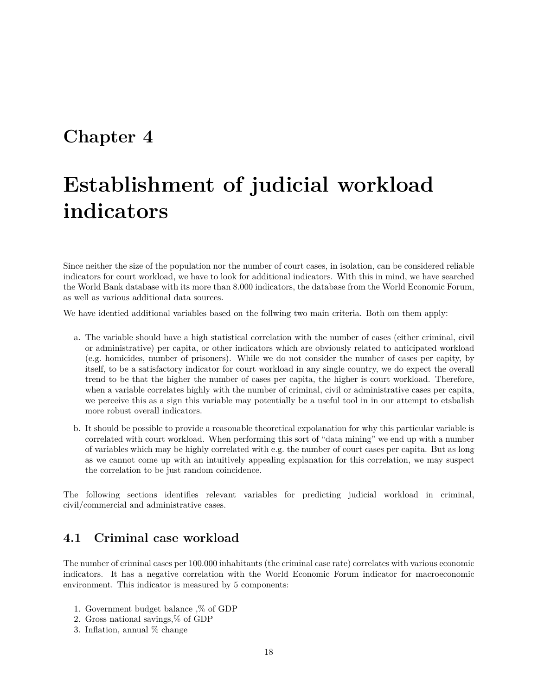### <span id="page-17-0"></span>**Chapter 4**

## **Establishment of judicial workload indicators**

Since neither the size of the population nor the number of court cases, in isolation, can be considered reliable indicators for court workload, we have to look for additional indicators. With this in mind, we have searched the World Bank database with its more than 8.000 indicators, the database from the World Economic Forum, as well as various additional data sources.

We have identied additional variables based on the follwing two main criteria. Both om them apply:

- a. The variable should have a high statistical correlation with the number of cases (either criminal, civil or administrative) per capita, or other indicators which are obviously related to anticipated workload (e.g. homicides, number of prisoners). While we do not consider the number of cases per capity, by itself, to be a satisfactory indicator for court workload in any single country, we do expect the overall trend to be that the higher the number of cases per capita, the higher is court workload. Therefore, when a variable correlates highly with the number of criminal, civil or administrative cases per capita, we perceive this as a sign this variable may potentially be a useful tool in in our attempt to etsbalish more robust overall indicators.
- b. It should be possible to provide a reasonable theoretical expolanation for why this particular variable is correlated with court workload. When performing this sort of "data mining" we end up with a number of variables which may be highly correlated with e.g. the number of court cases per capita. But as long as we cannot come up with an intuitively appealing explanation for this correlation, we may suspect the correlation to be just random coincidence.

The following sections identifies relevant variables for predicting judicial workload in criminal, civil/commercial and administrative cases.

#### <span id="page-17-1"></span>**4.1 Criminal case workload**

The number of criminal cases per 100.000 inhabitants (the criminal case rate) correlates with various economic indicators. It has a negative correlation with the World Economic Forum indicator for macroeconomic environment. This indicator is measured by 5 components:

- 1. Government budget balance ,% of GDP
- 2. Gross national savings,% of GDP
- 3. Inflation, annual % change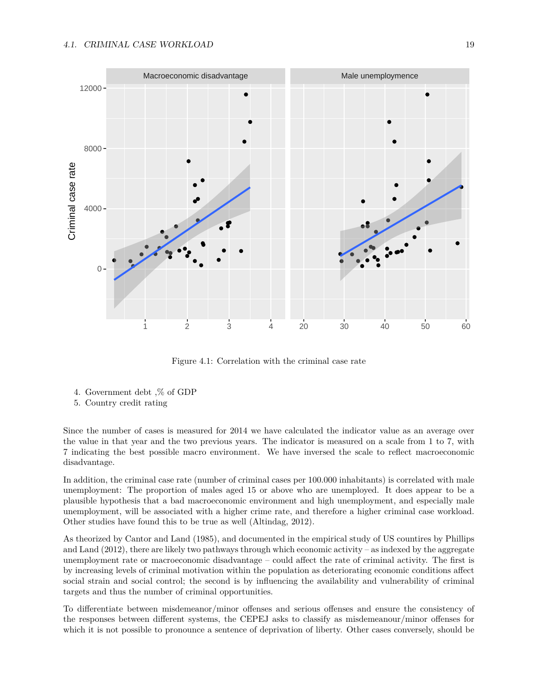

Figure 4.1: Correlation with the criminal case rate

- 4. Government debt ,% of GDP
- 5. Country credit rating

Since the number of cases is measured for 2014 we have calculated the indicator value as an average over the value in that year and the two previous years. The indicator is measured on a scale from 1 to 7, with 7 indicating the best possible macro environment. We have inversed the scale to reflect macroeconomic disadvantage.

In addition, the criminal case rate (number of criminal cases per 100.000 inhabitants) is correlated with male unemployment: The proportion of males aged 15 or above who are unemployed. It does appear to be a plausible hypothesis that a bad macroeconomic environment and high unemployment, and especially male unemployment, will be associated with a higher crime rate, and therefore a higher criminal case workload. Other studies have found this to be true as well (Altindag, 2012).

As theorized by Cantor and Land (1985), and documented in the empirical study of US countires by Phillips and Land (2012), there are likely two pathways through which economic activity – as indexed by the aggregate unemployment rate or macroeconomic disadvantage – could affect the rate of criminal activity. The first is by increasing levels of criminal motivation within the population as deteriorating economic conditions affect social strain and social control; the second is by influencing the availability and vulnerability of criminal targets and thus the number of criminal opportunities.

To differentiate between misdemeanor/minor offenses and serious offenses and ensure the consistency of the responses between different systems, the CEPEJ asks to classify as misdemeanour/minor offenses for which it is not possible to pronounce a sentence of deprivation of liberty. Other cases conversely, should be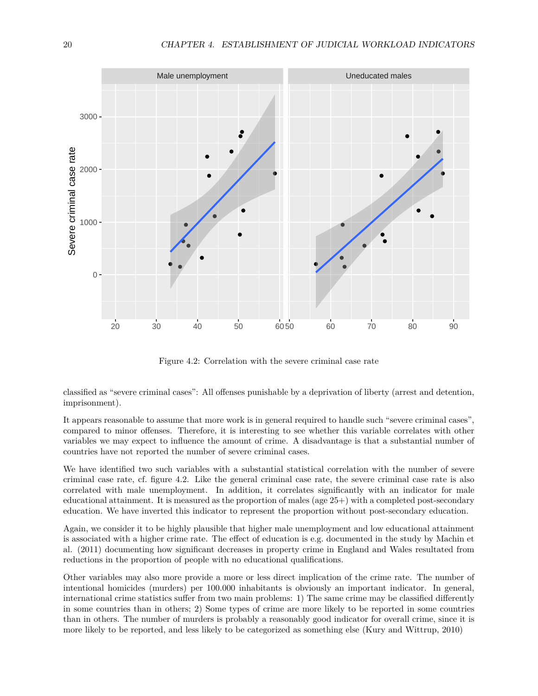<span id="page-19-0"></span>

Figure 4.2: Correlation with the severe criminal case rate

classified as "severe criminal cases": All offenses punishable by a deprivation of liberty (arrest and detention, imprisonment).

It appears reasonable to assume that more work is in general required to handle such "severe criminal cases", compared to minor offenses. Therefore, it is interesting to see whether this variable correlates with other variables we may expect to influence the amount of crime. A disadvantage is that a substantial number of countries have not reported the number of severe criminal cases.

We have identified two such variables with a substantial statistical correlation with the number of severe criminal case rate, cf. figure [4.2.](#page-19-0) Like the general criminal case rate, the severe criminal case rate is also correlated with male unemployment. In addition, it correlates significantly with an indicator for male educational attainment. It is measured as the proportion of males (age  $25+$ ) with a completed post-secondary education. We have inverted this indicator to represent the proportion without post-secondary education.

Again, we consider it to be highly plausible that higher male unemployment and low educational attainment is associated with a higher crime rate. The effect of education is e.g. documented in the study by Machin et al. (2011) documenting how significant decreases in property crime in England and Wales resultated from reductions in the proportion of people with no educational qualifications.

Other variables may also more provide a more or less direct implication of the crime rate. The number of intentional homicides (murders) per 100.000 inhabitants is obviously an important indicator. In general, international crime statistics suffer from two main problems: 1) The same crime may be classified differently in some countries than in others; 2) Some types of crime are more likely to be reported in some countries than in others. The number of murders is probably a reasonably good indicator for overall crime, since it is more likely to be reported, and less likely to be categorized as something else (Kury and Wittrup, 2010)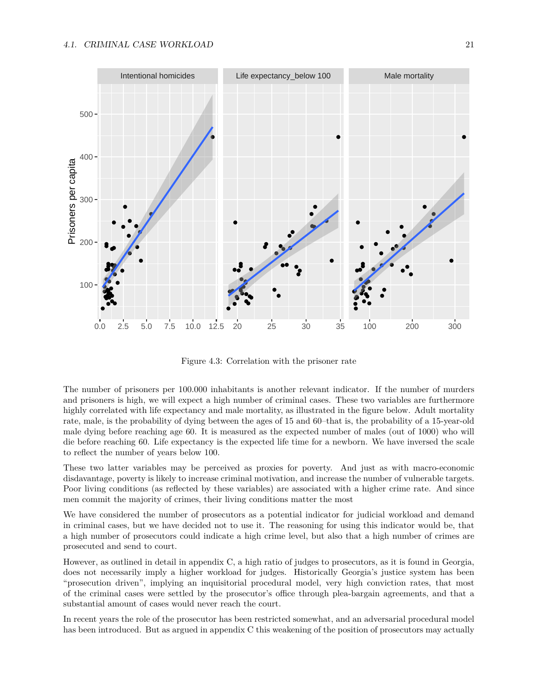

Figure 4.3: Correlation with the prisoner rate

The number of prisoners per 100.000 inhabitants is another relevant indicator. If the number of murders and prisoners is high, we will expect a high number of criminal cases. These two variables are furthermore highly correlated with life expectancy and male mortality, as illustrated in the figure below. Adult mortality rate, male, is the probability of dying between the ages of 15 and 60–that is, the probability of a 15-year-old male dying before reaching age 60. It is measured as the expected number of males (out of 1000) who will die before reaching 60. Life expectancy is the expected life time for a newborn. We have inversed the scale to reflect the number of years below 100.

These two latter variables may be perceived as proxies for poverty. And just as with macro-economic disdavantage, poverty is likely to increase criminal motivation, and increase the number of vulnerable targets. Poor living conditions (as reflected by these variables) are associated with a higher crime rate. And since men commit the majority of crimes, their living conditions matter the most

We have considered the number of prosecutors as a potential indicator for judicial workload and demand in criminal cases, but we have decided not to use it. The reasoning for using this indicator would be, that a high number of prosecutors could indicate a high crime level, but also that a high number of crimes are prosecuted and send to court.

However, as outlined in detail in appendix C, a high ratio of judges to prosecutors, as it is found in Georgia, does not necessarily imply a higher workload for judges. Historically Georgia's justice system has been "prosecution driven", implying an inquisitorial procedural model, very high conviction rates, that most of the criminal cases were settled by the prosecutor's office through plea-bargain agreements, and that a substantial amount of cases would never reach the court.

In recent years the role of the prosecutor has been restricted somewhat, and an adversarial procedural model has been introduced. But as argued in appendix C this weakening of the position of prosecutors may actually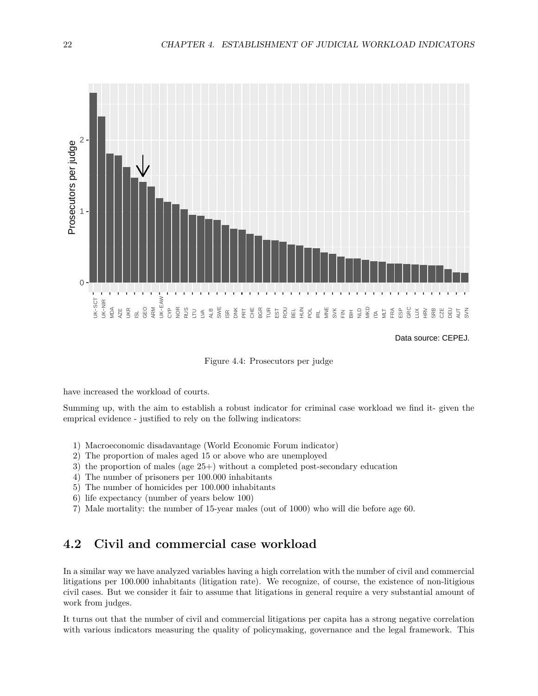

Data source: CEPEJ.

Figure 4.4: Prosecutors per judge

have increased the workload of courts.

Summing up, with the aim to establish a robust indicator for criminal case workload we find it- given the emprical evidence - justified to rely on the follwing indicators:

- 1) Macroeconomic disadavantage (World Economic Forum indicator)
- 2) The proportion of males aged 15 or above who are unemployed
- 3) the proportion of males (age 25+) without a completed post-secondary education
- 4) The number of prisoners per 100.000 inhabitants
- 5) The number of homicides per 100.000 inhabitants
- 6) life expectancy (number of years below 100)
- 7) Male mortality: the number of 15-year males (out of 1000) who will die before age 60.

### <span id="page-21-0"></span>**4.2 Civil and commercial case workload**

In a similar way we have analyzed variables having a high correlation with the number of civil and commercial litigations per 100.000 inhabitants (litigation rate). We recognize, of course, the existence of non-litigious civil cases. But we consider it fair to assume that litigations in general require a very substantial amount of work from judges.

It turns out that the number of civil and commercial litigations per capita has a strong negative correlation with various indicators measuring the quality of policymaking, governance and the legal framework. This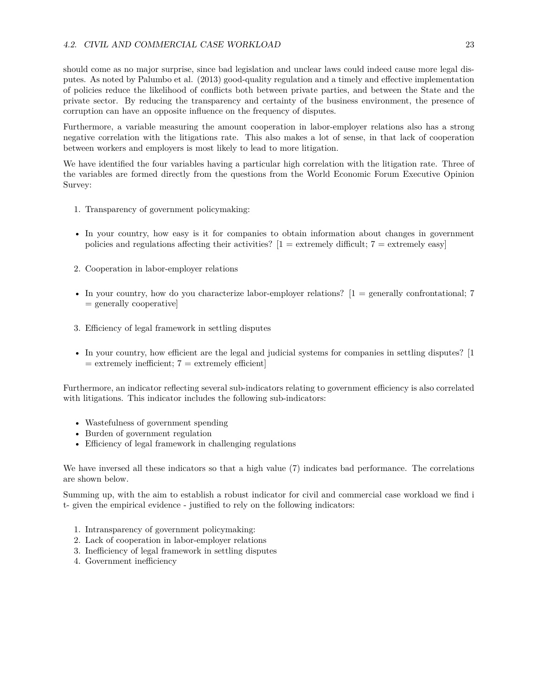should come as no major surprise, since bad legislation and unclear laws could indeed cause more legal disputes. As noted by Palumbo et al. (2013) good-quality regulation and a timely and effective implementation of policies reduce the likelihood of conflicts both between private parties, and between the State and the private sector. By reducing the transparency and certainty of the business environment, the presence of corruption can have an opposite influence on the frequency of disputes.

Furthermore, a variable measuring the amount cooperation in labor-employer relations also has a strong negative correlation with the litigations rate. This also makes a lot of sense, in that lack of cooperation between workers and employers is most likely to lead to more litigation.

We have identified the four variables having a particular high correlation with the litigation rate. Three of the variables are formed directly from the questions from the World Economic Forum Executive Opinion Survey:

- 1. Transparency of government policymaking:
- In your country, how easy is it for companies to obtain information about changes in government policies and regulations affecting their activities?  $[1 =$  extremely difficult;  $7 =$  extremely easy
- 2. Cooperation in labor-employer relations
- In your country, how do you characterize labor-employer relations?  $[1 =$  generally confrontational; 7  $=$  generally cooperative
- 3. Efficiency of legal framework in settling disputes
- In your country, how efficient are the legal and judicial systems for companies in settling disputes? [1  $=$  extremely inefficient;  $7 =$  extremely efficient

Furthermore, an indicator reflecting several sub-indicators relating to government efficiency is also correlated with litigations. This indicator includes the following sub-indicators:

- Wastefulness of government spending
- Burden of government regulation
- Efficiency of legal framework in challenging regulations

We have inversed all these indicators so that a high value (7) indicates bad performance. The correlations are shown below.

Summing up, with the aim to establish a robust indicator for civil and commercial case workload we find i t- given the empirical evidence - justified to rely on the following indicators:

- 1. Intransparency of government policymaking:
- 2. Lack of cooperation in labor-employer relations
- 3. Inefficiency of legal framework in settling disputes
- 4. Government inefficiency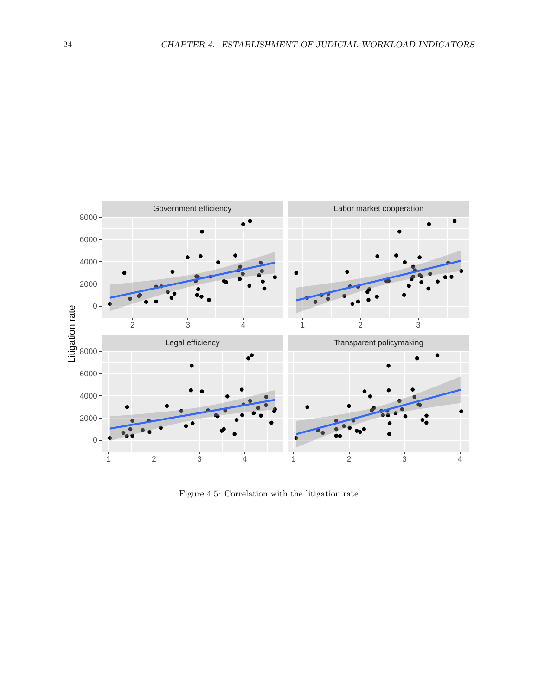

Figure 4.5: Correlation with the litigation rate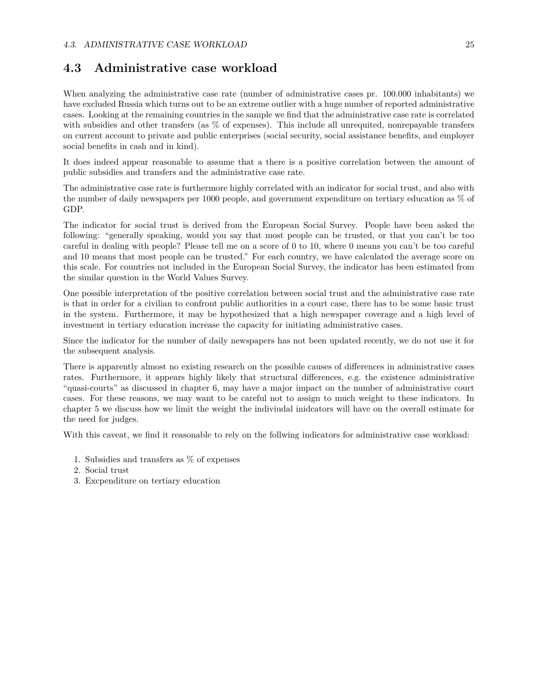### <span id="page-24-0"></span>**4.3 Administrative case workload**

When analyzing the administrative case rate (number of administrative cases pr. 100.000 inhabitants) we have excluded Russia which turns out to be an extreme outlier with a huge number of reported administrative cases. Looking at the remaining countries in the sample we find that the administrative case rate is correlated with subsidies and other transfers (as  $\%$  of expenses). This include all unrequited, nonrepayable transfers on current account to private and public enterprises (social security, social assistance benefits, and employer social benefits in cash and in kind).

It does indeed appear reasonable to assume that a there is a positive correlation between the amount of public subsidies and transfers and the administrative case rate.

The administrative case rate is furthermore highly correlated with an indicator for social trust, and also with the number of daily newspapers per 1000 people, and government expenditure on tertiary education as % of GDP.

The indicator for social trust is derived from the European Social Survey. People have been asked the following: "generally speaking, would you say that most people can be trusted, or that you can't be too careful in dealing with people? Please tell me on a score of 0 to 10, where 0 means you can't be too careful and 10 means that most people can be trusted." For each country, we have calculated the average score on this scale. For countries not included in the European Social Survey, the indicator has been estimated from the similar question in the World Values Survey.

One possible interpretation of the positive correlation between social trust and the administrative case rate is that in order for a civilian to confront public authorities in a court case, there has to be some basic trust in the system. Furthermore, it may be hypothesized that a high newspaper coverage and a high level of investment in tertiary education increase the capacity for initiating administrative cases.

Since the indicator for the number of daily newspapers has not been updated recently, we do not use it for the subsequent analysis.

There is apparently almost no existing research on the possible causes of differences in administrative cases rates. Furthermore, it appears highly likely that structural differences, e.g. the existence administrative "quasi-courts" as discussed in chapter 6, may have a major impact on the number of administrative court cases. For these reasons, we may want to be careful not to assign to much weight to these indicators. In chapter 5 we discuss how we limit the weight the indiviudal inidcators will have on the overall estimate for the need for judges.

With this caveat, we find it reasonable to rely on the follwing indicators for administrative case workload:

- 1. Subsidies and transfers as % of expenses
- 2. Social trust
- 3. Excpenditure on tertiary education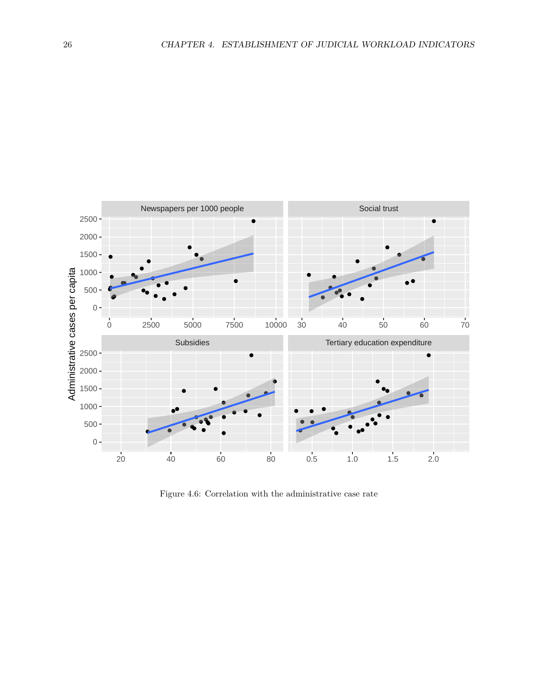

Figure 4.6: Correlation with the administrative case rate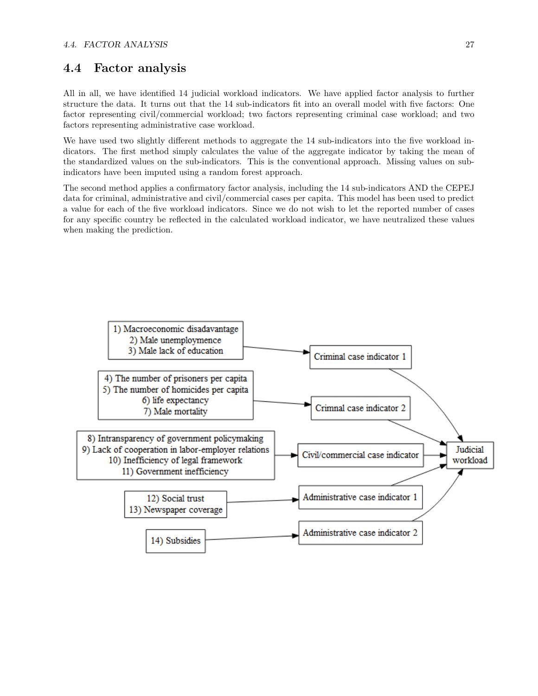#### <span id="page-26-0"></span>**4.4 Factor analysis**

All in all, we have identified 14 judicial workload indicators. We have applied factor analysis to further structure the data. It turns out that the 14 sub-indicators fit into an overall model with five factors: One factor representing civil/commercial workload; two factors representing criminal case workload; and two factors representing administrative case workload.

We have used two slightly different methods to aggregate the 14 sub-indicators into the five workload indicators. The first method simply calculates the value of the aggregate indicator by taking the mean of the standardized values on the sub-indicators. This is the conventional approach. Missing values on subindicators have been imputed using a random forest approach.

The second method applies a confirmatory factor analysis, including the 14 sub-indicators AND the CEPEJ data for criminal, administrative and civil/commercial cases per capita. This model has been used to predict a value for each of the five workload indicators. Since we do not wish to let the reported number of cases for any specific country be reflected in the calculated workload indicator, we have neutralized these values when making the prediction.

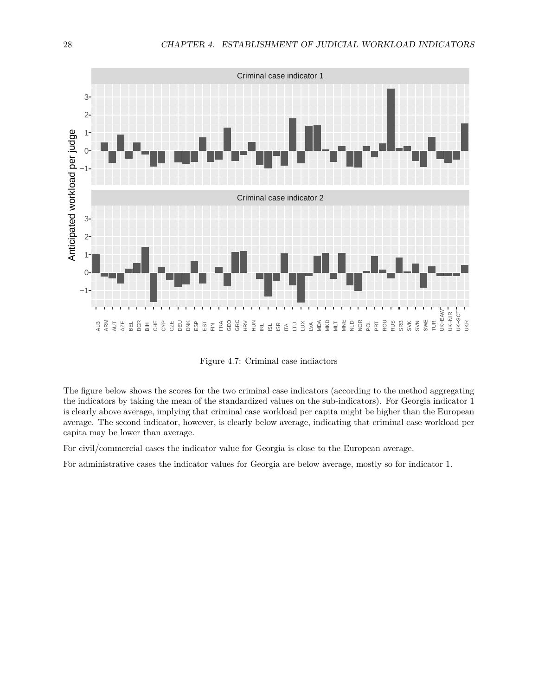

Figure 4.7: Criminal case indiactors

The figure below shows the scores for the two criminal case indicators (according to the method aggregating the indicators by taking the mean of the standardized values on the sub-indicators). For Georgia indicator 1 is clearly above average, implying that criminal case workload per capita might be higher than the European average. The second indicator, however, is clearly below average, indicating that criminal case workload per capita may be lower than average.

For civil/commercial cases the indicator value for Georgia is close to the European average.

For administrative cases the indicator values for Georgia are below average, mostly so for indicator 1.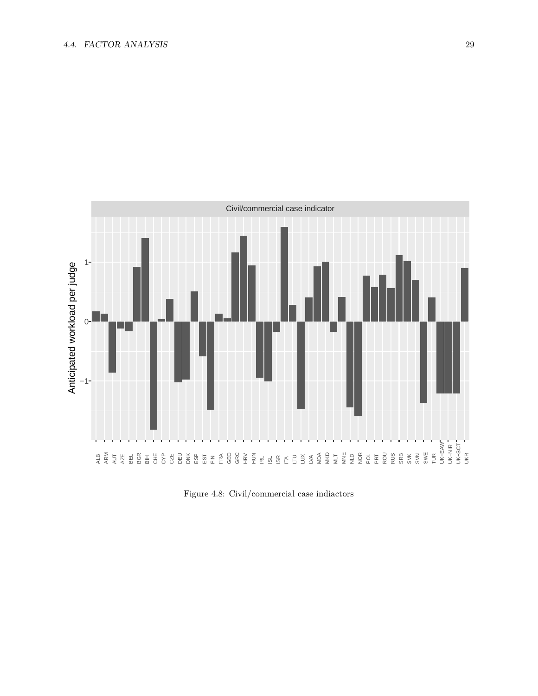

Figure 4.8: Civil/commercial case indiactors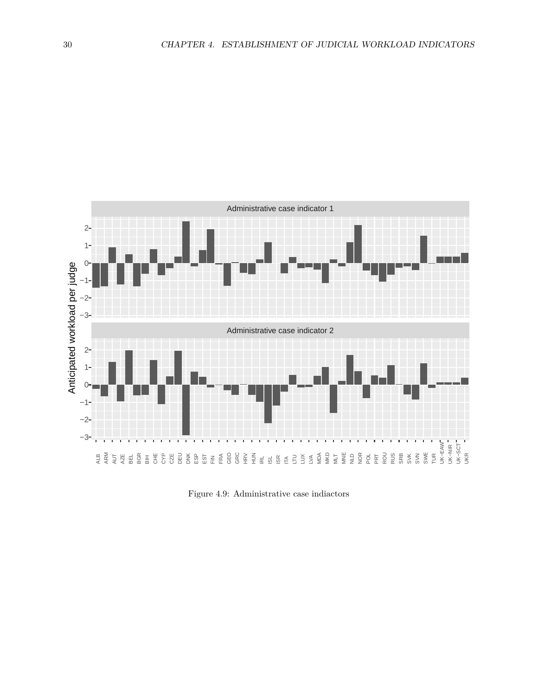

Figure 4.9: Administrative case indiactors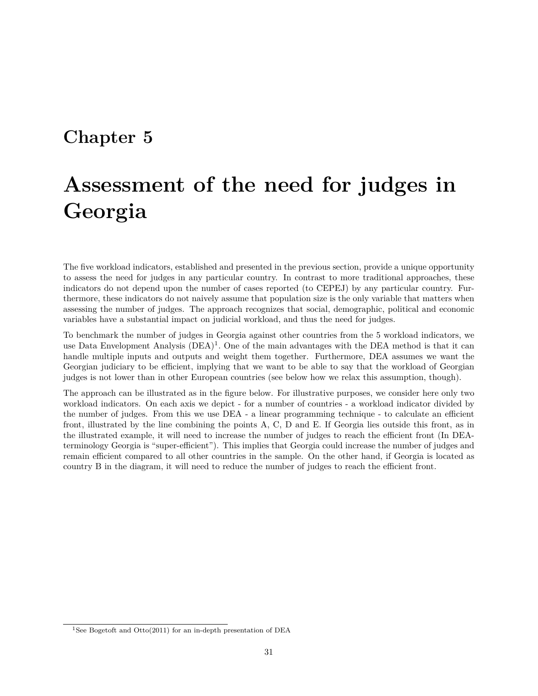### <span id="page-30-0"></span>**Chapter 5**

# **Assessment of the need for judges in Georgia**

The five workload indicators, established and presented in the previous section, provide a unique opportunity to assess the need for judges in any particular country. In contrast to more traditional approaches, these indicators do not depend upon the number of cases reported (to CEPEJ) by any particular country. Furthermore, these indicators do not naively assume that population size is the only variable that matters when assessing the number of judges. The approach recognizes that social, demographic, political and economic variables have a substantial impact on judicial workload, and thus the need for judges.

To benchmark the number of judges in Georgia against other countries from the 5 workload indicators, we use Data Envelopment Analysis (DEA)<sup>[1](#page-30-1)</sup>. One of the main advantages with the DEA method is that it can handle multiple inputs and outputs and weight them together. Furthermore, DEA assumes we want the Georgian judiciary to be efficient, implying that we want to be able to say that the workload of Georgian judges is not lower than in other European countries (see below how we relax this assumption, though).

The approach can be illustrated as in the figure below. For illustrative purposes, we consider here only two workload indicators. On each axis we depict - for a number of countries - a workload indicator divided by the number of judges. From this we use DEA - a linear programming technique - to calculate an efficient front, illustrated by the line combining the points A, C, D and E. If Georgia lies outside this front, as in the illustrated example, it will need to increase the number of judges to reach the efficient front (In DEAterminology Georgia is "super-efficient"). This implies that Georgia could increase the number of judges and remain efficient compared to all other countries in the sample. On the other hand, if Georgia is located as country B in the diagram, it will need to reduce the number of judges to reach the efficient front.

<span id="page-30-1"></span><sup>&</sup>lt;sup>1</sup>See Bogetoft and Otto(2011) for an in-depth presentation of DEA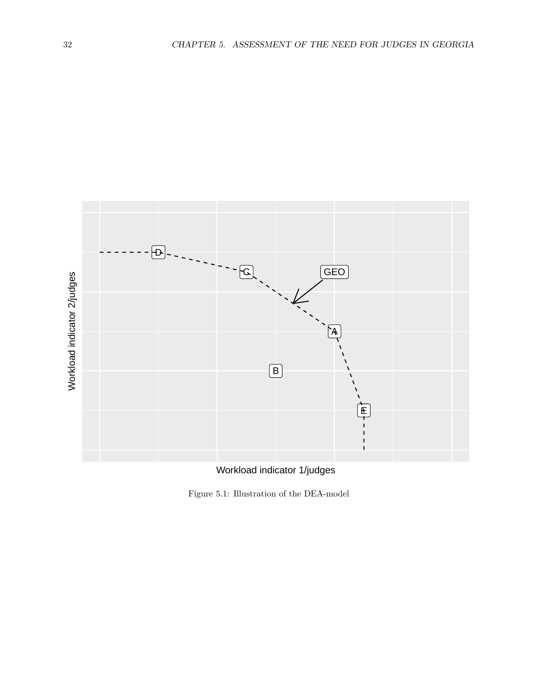

Workload indicator 1/judges

Figure 5.1: Illustration of the DEA-model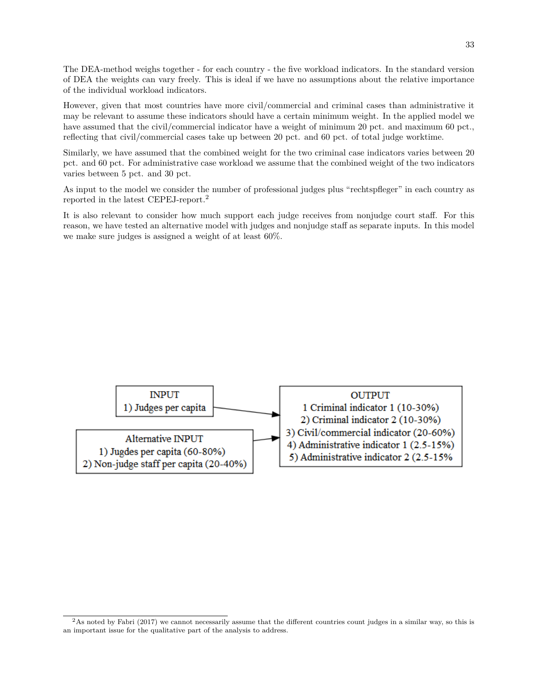The DEA-method weighs together - for each country - the five workload indicators. In the standard version of DEA the weights can vary freely. This is ideal if we have no assumptions about the relative importance of the individual workload indicators.

However, given that most countries have more civil/commercial and criminal cases than administrative it may be relevant to assume these indicators should have a certain minimum weight. In the applied model we have assumed that the civil/commercial indicator have a weight of minimum 20 pct. and maximum 60 pct., reflecting that civil/commercial cases take up between 20 pct. and 60 pct. of total judge worktime.

Similarly, we have assumed that the combined weight for the two criminal case indicators varies between 20 pct. and 60 pct. For administrative case workload we assume that the combined weight of the two indicators varies between 5 pct. and 30 pct.

As input to the model we consider the number of professional judges plus "rechtspfleger" in each country as reported in the latest CEPEJ-report.[2](#page-32-0)

It is also relevant to consider how much support each judge receives from nonjudge court staff. For this reason, we have tested an alternative model with judges and nonjudge staff as separate inputs. In this model we make sure judges is assigned a weight of at least 60%.



<span id="page-32-0"></span> ${}^{2}$ As noted by Fabri (2017) we cannot necessarily assume that the different countries count judges in a similar way, so this is an important issue for the qualitative part of the analysis to address.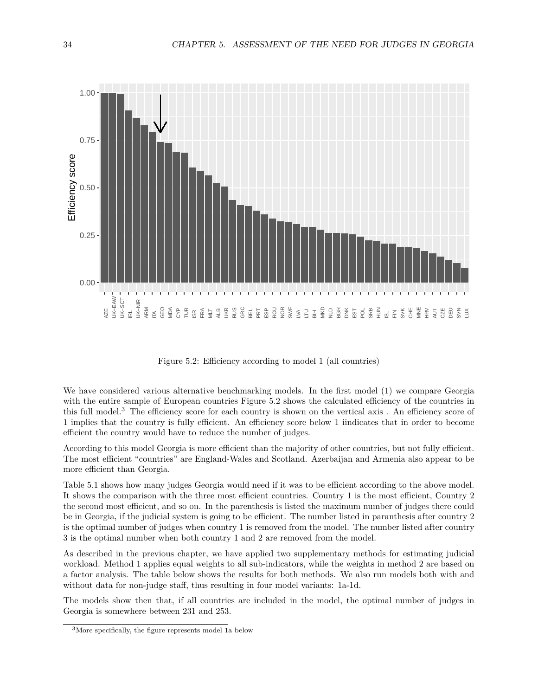<span id="page-33-0"></span>

Figure 5.2: Efficiency according to model 1 (all countries)

We have considered various alternative benchmarking models. In the first model (1) we compare Georgia with the entire sample of European countries Figure [5.2](#page-33-0) shows the calculated efficiency of the countries in this full model.[3](#page-33-1) The efficiency score for each country is shown on the vertical axis . An efficiency score of 1 implies that the country is fully efficient. An efficiency score below 1 iindicates that in order to become efficient the country would have to reduce the number of judges.

According to this model Georgia is more efficient than the majority of other countries, but not fully efficient. The most efficient "countries" are England-Wales and Scotland. Azerbaijan and Armenia also appear to be more efficient than Georgia.

Table [5.1](#page-34-0) shows how many judges Georgia would need if it was to be efficient according to the above model. It shows the comparison with the three most efficient countries. Country 1 is the most efficient, Country 2 the second most efficient, and so on. In the parenthesis is listed the maximum number of judges there could be in Georgia, if the judicial system is going to be efficient. The number listed in paranthesis after country 2 is the optimal number of judges when country 1 is removed from the model. The number listed after country 3 is the optimal number when both country 1 and 2 are removed from the model.

As described in the previous chapter, we have applied two supplementary methods for estimating judicial workload. Method 1 applies equal weights to all sub-indicators, while the weights in method 2 are based on a factor analysis. The table below shows the results for both methods. We also run models both with and without data for non-judge staff, thus resulting in four model variants: 1a-1d.

The models show then that, if all countries are included in the model, the optimal number of judges in Georgia is somewhere between 231 and 253.

<span id="page-33-1"></span><sup>3</sup>More specifically, the figure represents model 1a below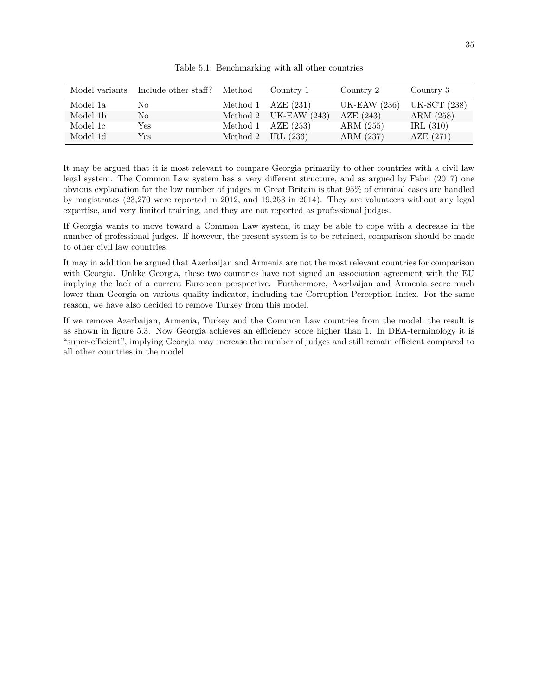<span id="page-34-0"></span>

| Model variants | Include other staff? Method | Country 1               | Country 2           | Country 3           |
|----------------|-----------------------------|-------------------------|---------------------|---------------------|
| Model 1a       | No                          | Method 1 $AZE$ (231)    | <b>UK-EAW</b> (236) | <b>UK-SCT</b> (238) |
| Model 1b       | No                          | Method 2 UK-EAW $(243)$ | AZE $(243)$         | ARM (258)           |
| Model 1c       | Yes                         | Method 1 $AZE$ (253)    | ARM (255)           | IRL $(310)$         |
| Model 1d       | Yes                         | Method 2 IRL $(236)$    | ARM (237)           | AZE $(271)$         |

Table 5.1: Benchmarking with all other countries

It may be argued that it is most relevant to compare Georgia primarily to other countries with a civil law legal system. The Common Law system has a very different structure, and as argued by Fabri (2017) one obvious explanation for the low number of judges in Great Britain is that 95% of criminal cases are handled by magistrates (23,270 were reported in 2012, and 19,253 in 2014). They are volunteers without any legal expertise, and very limited training, and they are not reported as professional judges.

If Georgia wants to move toward a Common Law system, it may be able to cope with a decrease in the number of professional judges. If however, the present system is to be retained, comparison should be made to other civil law countries.

It may in addition be argued that Azerbaijan and Armenia are not the most relevant countries for comparison with Georgia. Unlike Georgia, these two countries have not signed an association agreement with the EU implying the lack of a current European perspective. Furthermore, Azerbaijan and Armenia score much lower than Georgia on various quality indicator, including the Corruption Perception Index. For the same reason, we have also decided to remove Turkey from this model.

If we remove Azerbaijan, Armenia, Turkey and the Common Law countries from the model, the result is as shown in figure [5.3.](#page-35-0) Now Georgia achieves an efficiency score higher than 1. In DEA-terminology it is "super-efficient", implying Georgia may increase the number of judges and still remain efficient compared to all other countries in the model.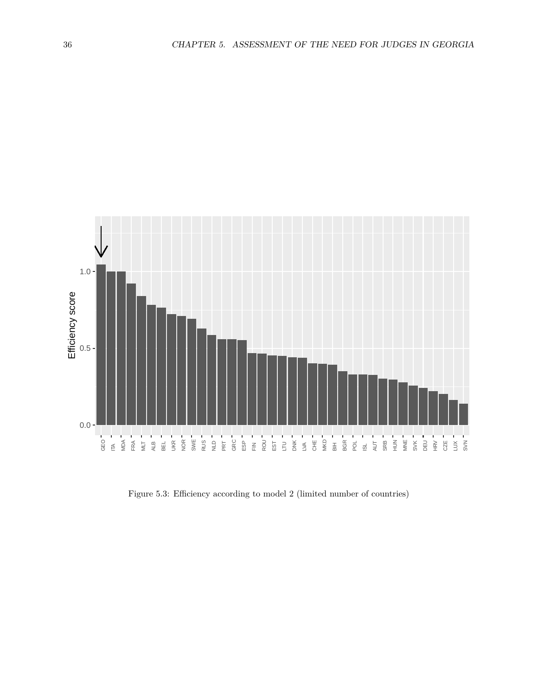<span id="page-35-0"></span>

Figure 5.3: Efficiency according to model 2 (limited number of countries)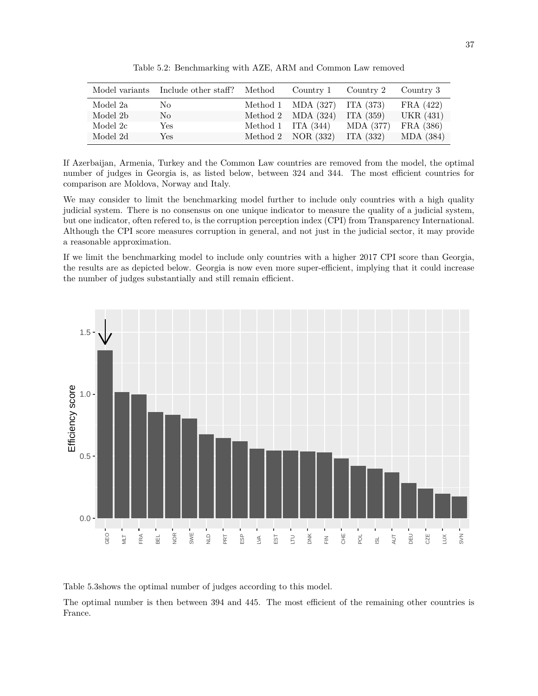|          | Model variants Include other staff? Method | Country 1 Country 2              |             | Country 3          |
|----------|--------------------------------------------|----------------------------------|-------------|--------------------|
| Model 2a | No.                                        | Method 1 $MDA (327)$ ITA $(373)$ |             | $\text{FRA}(422)$  |
| Model 2b | No                                         | Method 2 $MDA(324)$              | ITA $(359)$ | <b>UKR</b> (431)   |
| Model 2c | Yes                                        | Method 1 ITA $(344)$             | MDA (377)   | $\text{FRA}$ (386) |
| Model 2d | Yes                                        | Method 2 $NOR(332)$              | ITA (332)   | MDA (384)          |

Table 5.2: Benchmarking with AZE, ARM and Common Law removed

If Azerbaijan, Armenia, Turkey and the Common Law countries are removed from the model, the optimal number of judges in Georgia is, as listed below, between 324 and 344. The most efficient countries for comparison are Moldova, Norway and Italy.

We may consider to limit the benchmarking model further to include only countries with a high quality judicial system. There is no consensus on one unique indicator to measure the quality of a judicial system, but one indicator, often refered to, is the corruption perception index (CPI) from Transparency International. Although the CPI score measures corruption in general, and not just in the judicial sector, it may provide a reasonable approximation.

If we limit the benchmarking model to include only countries with a higher 2017 CPI score than Georgia, the results are as depicted below. Georgia is now even more super-efficient, implying that it could increase the number of judges substantially and still remain efficient.



Table [5.3](#page-37-0)shows the optimal number of judges according to this model.

The optimal number is then between 394 and 445. The most efficient of the remaining other countries is France.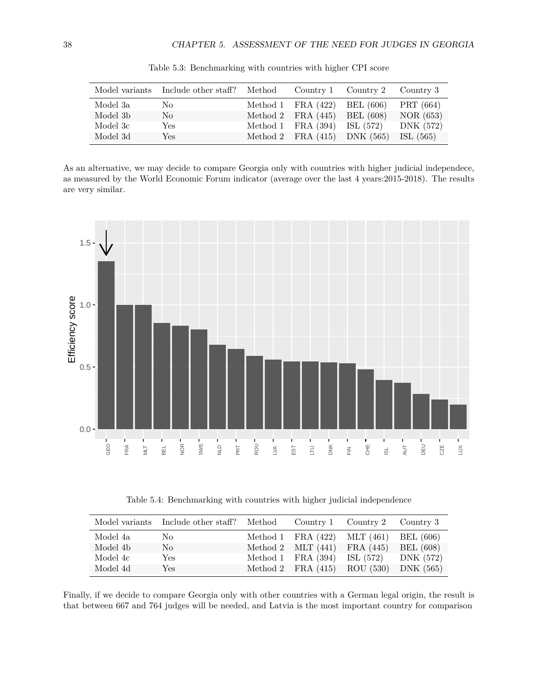<span id="page-37-0"></span>

| Model variants | Include other staff? Method |                                  | Country 1 Country 2 Country 3 |             |
|----------------|-----------------------------|----------------------------------|-------------------------------|-------------|
| Model 3a       | No.                         | Method 1 FRA $(422)$ BEL $(606)$ |                               | PRT (664)   |
| Model 3b       | No                          | Method 2 FRA $(445)$ BEL $(608)$ |                               | NOR(653)    |
| Model 3c       | Yes                         | Method 1 FRA (394) ISL (572)     |                               | DNK (572)   |
| Model 3d       | Yes                         | Method 2 FRA (415) DNK (565)     |                               | ISL $(565)$ |

Table 5.3: Benchmarking with countries with higher CPI score

As an alternative, we may decide to compare Georgia only with countries with higher judicial independece, as measured by the World Economic Forum indicator (average over the last 4 years:2015-2018). The results are very similar.



Table 5.4: Benchmarking with countries with higher judicial independence

|          | Model variants Include other staff? Method |                                  | Country 1 Country 2 Country 3 |                  |
|----------|--------------------------------------------|----------------------------------|-------------------------------|------------------|
| Model 4a | No                                         | Method 1 FRA $(422)$ MLT $(461)$ |                               | BEL (606)        |
| Model 4b | No                                         | Method 2 MLT $(441)$ FRA $(445)$ |                               | <b>BEL</b> (608) |
| Model 4c | Yes                                        | Method 1 FRA $(394)$             | ISL (572)                     | DNK (572)        |
| Model 4d | Yes                                        | Method 2 FRA $(415)$ ROU $(530)$ |                               | DNK $(565)$      |

Finally, if we decide to compare Georgia only with other countries with a German legal origin, the result is that between 667 and 764 judges will be needed, and Latvia is the most important country for comparison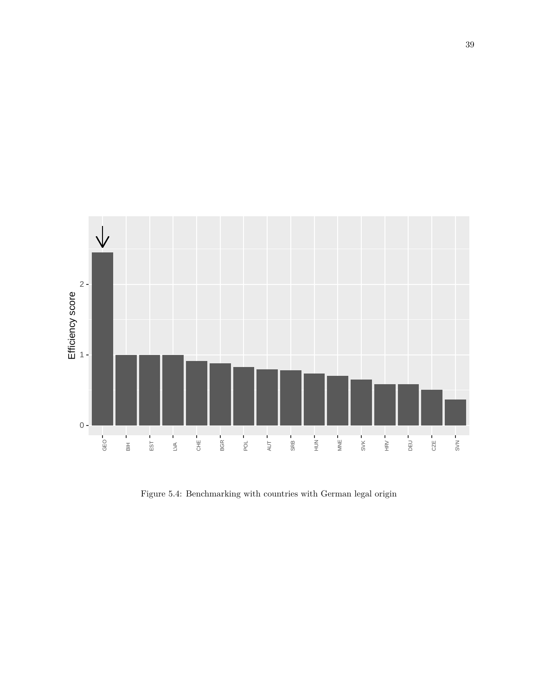

Figure 5.4: Benchmarking with countries with German legal origin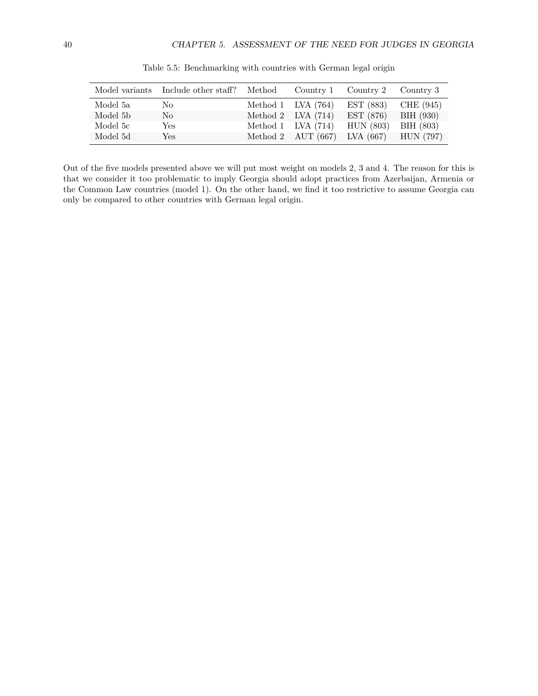|          | Model variants Include other staff? | Method |                         | Country 1 Country 2 Country 3          |           |
|----------|-------------------------------------|--------|-------------------------|----------------------------------------|-----------|
| Model 5a | No.                                 |        | Method 1 $\,$ LVA (764) | EST (883)                              | CHE (945) |
| Model 5b | No                                  |        | Method 2 LVA $(714)$    | EST(876)                               | BIH (930) |
| Model 5c | Yes                                 |        | Method 1 $LVA$ (714)    | HUN (803)                              | BIH (803) |
| Model 5d | Yes                                 |        |                         | Method 2 AUT (667) LVA (667) HUN (797) |           |

Table 5.5: Benchmarking with countries with German legal origin

Out of the five models presented above we will put most weight on models 2, 3 and 4. The reason for this is that we consider it too problematic to imply Georgia should adopt practices from Azerbaijan, Armenia or the Common Law countries (model 1). On the other hand, we find it too restrictive to assume Georgia can only be compared to other countries with German legal origin.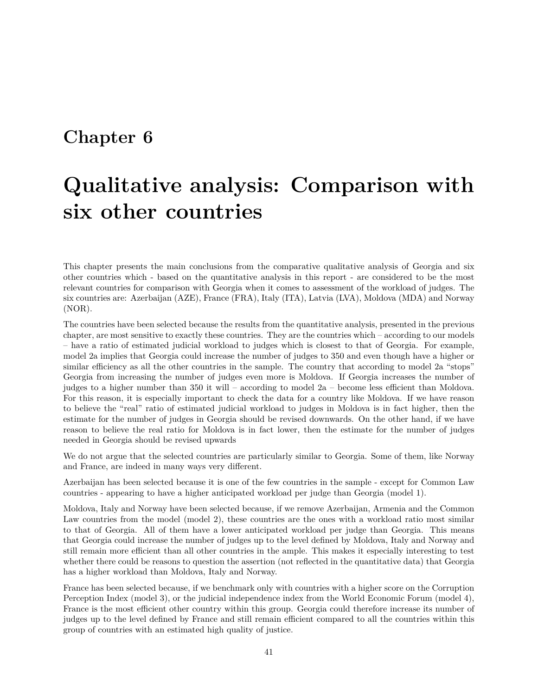### <span id="page-40-0"></span>**Chapter 6**

## **Qualitative analysis: Comparison with six other countries**

This chapter presents the main conclusions from the comparative qualitative analysis of Georgia and six other countries which - based on the quantitative analysis in this report - are considered to be the most relevant countries for comparison with Georgia when it comes to assessment of the workload of judges. The six countries are: Azerbaijan (AZE), France (FRA), Italy (ITA), Latvia (LVA), Moldova (MDA) and Norway (NOR).

The countries have been selected because the results from the quantitative analysis, presented in the previous chapter, are most sensitive to exactly these countries. They are the countries which – according to our models – have a ratio of estimated judicial workload to judges which is closest to that of Georgia. For example, model 2a implies that Georgia could increase the number of judges to 350 and even though have a higher or similar efficiency as all the other countries in the sample. The country that according to model 2a "stops" Georgia from increasing the number of judges even more is Moldova. If Georgia increases the number of judges to a higher number than 350 it will – according to model 2a – become less efficient than Moldova. For this reason, it is especially important to check the data for a country like Moldova. If we have reason to believe the "real" ratio of estimated judicial workload to judges in Moldova is in fact higher, then the estimate for the number of judges in Georgia should be revised downwards. On the other hand, if we have reason to believe the real ratio for Moldova is in fact lower, then the estimate for the number of judges needed in Georgia should be revised upwards

We do not argue that the selected countries are particularly similar to Georgia. Some of them, like Norway and France, are indeed in many ways very different.

Azerbaijan has been selected because it is one of the few countries in the sample - except for Common Law countries - appearing to have a higher anticipated workload per judge than Georgia (model 1).

Moldova, Italy and Norway have been selected because, if we remove Azerbaijan, Armenia and the Common Law countries from the model (model 2), these countries are the ones with a workload ratio most similar to that of Georgia. All of them have a lower anticipated workload per judge than Georgia. This means that Georgia could increase the number of judges up to the level defined by Moldova, Italy and Norway and still remain more efficient than all other countries in the ample. This makes it especially interesting to test whether there could be reasons to question the assertion (not reflected in the quantitative data) that Georgia has a higher workload than Moldova, Italy and Norway.

France has been selected because, if we benchmark only with countries with a higher score on the Corruption Perception Index (model 3), or the judicial independence index from the World Economic Forum (model 4), France is the most efficient other country within this group. Georgia could therefore increase its number of judges up to the level defined by France and still remain efficient compared to all the countries within this group of countries with an estimated high quality of justice.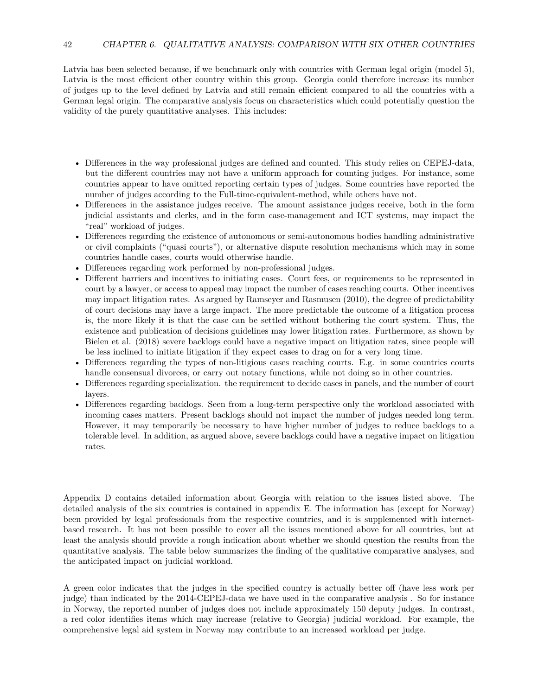Latvia has been selected because, if we benchmark only with countries with German legal origin (model 5), Latvia is the most efficient other country within this group. Georgia could therefore increase its number of judges up to the level defined by Latvia and still remain efficient compared to all the countries with a German legal origin. The comparative analysis focus on characteristics which could potentially question the validity of the purely quantitative analyses. This includes:

- Differences in the way professional judges are defined and counted. This study relies on CEPEJ-data, but the different countries may not have a uniform approach for counting judges. For instance, some countries appear to have omitted reporting certain types of judges. Some countries have reported the number of judges according to the Full-time-equivalent-method, while others have not.
- Differences in the assistance judges receive. The amount assistance judges receive, both in the form judicial assistants and clerks, and in the form case-management and ICT systems, may impact the "real" workload of judges.
- Differences regarding the existence of autonomous or semi-autonomous bodies handling administrative or civil complaints ("quasi courts"), or alternative dispute resolution mechanisms which may in some countries handle cases, courts would otherwise handle.
- Differences regarding work performed by non-professional judges.
- Different barriers and incentives to initiating cases. Court fees, or requirements to be represented in court by a lawyer, or access to appeal may impact the number of cases reaching courts. Other incentives may impact litigation rates. As argued by Ramseyer and Rasmusen (2010), the degree of predictability of court decisions may have a large impact. The more predictable the outcome of a litigation process is, the more likely it is that the case can be settled without bothering the court system. Thus, the existence and publication of decisions guidelines may lower litigation rates. Furthermore, as shown by Bielen et al. (2018) severe backlogs could have a negative impact on litigation rates, since people will be less inclined to initiate litigation if they expect cases to drag on for a very long time.
- Differences regarding the types of non-litigious cases reaching courts. E.g. in some countries courts handle consensual divorces, or carry out notary functions, while not doing so in other countries.
- Differences regarding specialization. the requirement to decide cases in panels, and the number of court layers.
- Differences regarding backlogs. Seen from a long-term perspective only the workload associated with incoming cases matters. Present backlogs should not impact the number of judges needed long term. However, it may temporarily be necessary to have higher number of judges to reduce backlogs to a tolerable level. In addition, as argued above, severe backlogs could have a negative impact on litigation rates.

Appendix D contains detailed information about Georgia with relation to the issues listed above. The detailed analysis of the six countries is contained in appendix E. The information has (except for Norway) been provided by legal professionals from the respective countries, and it is supplemented with internetbased research. It has not been possible to cover all the issues mentioned above for all countries, but at least the analysis should provide a rough indication about whether we should question the results from the quantitative analysis. The table below summarizes the finding of the qualitative comparative analyses, and the anticipated impact on judicial workload.

A green color indicates that the judges in the specified country is actually better off (have less work per judge) than indicated by the 2014-CEPEJ-data we have used in the comparative analysis . So for instance in Norway, the reported number of judges does not include approximately 150 deputy judges. In contrast, a red color identifies items which may increase (relative to Georgia) judicial workload. For example, the comprehensive legal aid system in Norway may contribute to an increased workload per judge.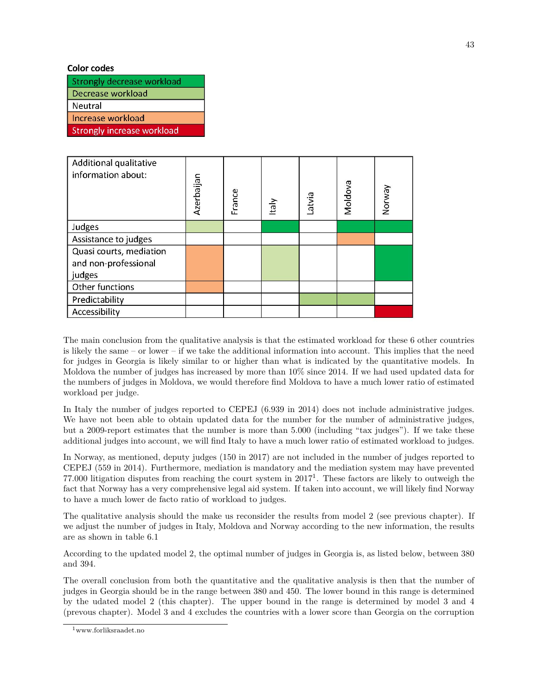#### **Color codes**

| Strongly decrease workload        |
|-----------------------------------|
| Decrease workload                 |
| Neutral                           |
| Increase workload                 |
| <b>Strongly increase workload</b> |
|                                   |

| Additional qualitative<br>information about: | Azerbaijan | France | ltaly | Latvia | Moldova | Norway |
|----------------------------------------------|------------|--------|-------|--------|---------|--------|
| Judges                                       |            |        |       |        |         |        |
| Assistance to judges                         |            |        |       |        |         |        |
| Quasi courts, mediation                      |            |        |       |        |         |        |
| and non-professional                         |            |        |       |        |         |        |
| judges                                       |            |        |       |        |         |        |
| Other functions                              |            |        |       |        |         |        |
| Predictability                               |            |        |       |        |         |        |
| Accessibility                                |            |        |       |        |         |        |

The main conclusion from the qualitative analysis is that the estimated workload for these 6 other countries is likely the same – or lower – if we take the additional information into account. This implies that the need for judges in Georgia is likely similar to or higher than what is indicated by the quantitative models. In Moldova the number of judges has increased by more than 10% since 2014. If we had used updated data for the numbers of judges in Moldova, we would therefore find Moldova to have a much lower ratio of estimated workload per judge.

In Italy the number of judges reported to CEPEJ (6.939 in 2014) does not include administrative judges. We have not been able to obtain updated data for the number for the number of administrative judges, but a 2009-report estimates that the number is more than 5.000 (including "tax judges"). If we take these additional judges into account, we will find Italy to have a much lower ratio of estimated workload to judges.

In Norway, as mentioned, deputy judges (150 in 2017) are not included in the number of judges reported to CEPEJ (559 in 2014). Furthermore, mediation is mandatory and the mediation system may have prevented  $77.000$  litigation disputes from reaching the court system in  $2017<sup>1</sup>$  $2017<sup>1</sup>$  $2017<sup>1</sup>$ . These factors are likely to outweigh the fact that Norway has a very comprehensive legal aid system. If taken into account, we will likely find Norway to have a much lower de facto ratio of workload to judges.

The qualitative analysis should the make us reconsider the results from model 2 (see previous chapter). If we adjust the number of judges in Italy, Moldova and Norway according to the new information, the results are as shown in table [6.1](#page-43-0)

According to the updated model 2, the optimal number of judges in Georgia is, as listed below, between 380 and 394.

The overall conclusion from both the quantitative and the qualitative analysis is then that the number of judges in Georgia should be in the range between 380 and 450. The lower bound in this range is determined by the udated model 2 (this chapter). The upper bound in the range is determined by model 3 and 4 (prevous chapter). Model 3 and 4 excludes the countries with a lower score than Georgia on the corruption

<span id="page-42-0"></span><sup>1</sup>www.forliksraadet.no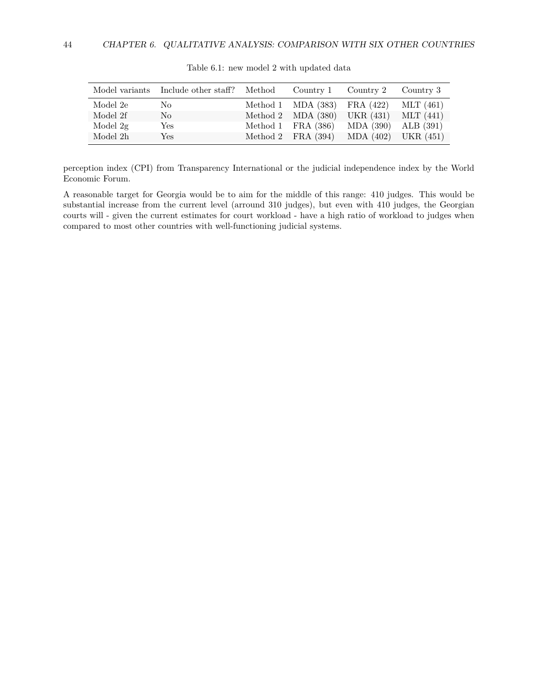<span id="page-43-0"></span>

|          | Model variants Include other staff? Method |                                  | Country 1 Country 2 Country 3          |             |
|----------|--------------------------------------------|----------------------------------|----------------------------------------|-------------|
| Model 2e | No                                         | Method 1 MDA (383) FRA (422)     |                                        | MLT $(461)$ |
| Model 2f | $\rm No$                                   | Method 2 $MDA (380)$ UKR $(431)$ |                                        | MLT (441)   |
| Model 2g | Yes                                        |                                  | Method 1 FRA (386) MDA (390) ALB (391) |             |
| Model 2h | Yes                                        | Method 2 FRA $(394)$             | MDA (402)                              | UKR (451)   |

Table 6.1: new model 2 with updated data

perception index (CPI) from Transparency International or the judicial independence index by the World Economic Forum.

A reasonable target for Georgia would be to aim for the middle of this range: 410 judges. This would be substantial increase from the current level (arround 310 judges), but even with 410 judges, the Georgian courts will - given the current estimates for court workload - have a high ratio of workload to judges when compared to most other countries with well-functioning judicial systems.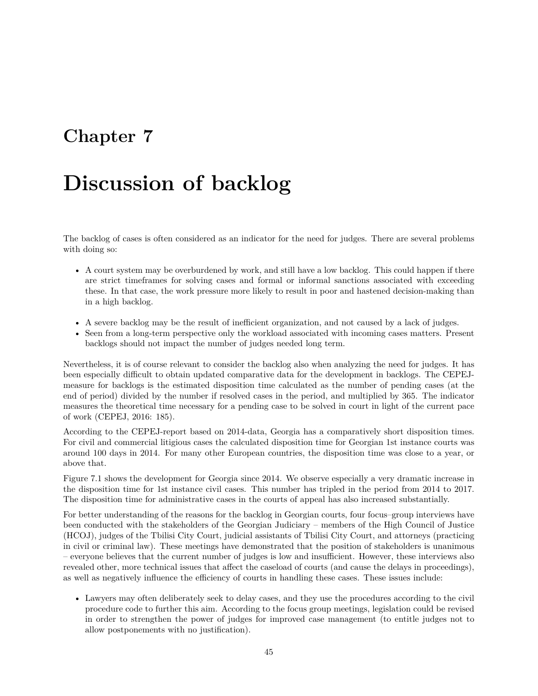### <span id="page-44-0"></span>**Chapter 7**

## **Discussion of backlog**

The backlog of cases is often considered as an indicator for the need for judges. There are several problems with doing so:

- A court system may be overburdened by work, and still have a low backlog. This could happen if there are strict timeframes for solving cases and formal or informal sanctions associated with exceeding these. In that case, the work pressure more likely to result in poor and hastened decision-making than in a high backlog.
- A severe backlog may be the result of inefficient organization, and not caused by a lack of judges.
- Seen from a long-term perspective only the workload associated with incoming cases matters. Present backlogs should not impact the number of judges needed long term.

Nevertheless, it is of course relevant to consider the backlog also when analyzing the need for judges. It has been especially difficult to obtain updated comparative data for the development in backlogs. The CEPEJmeasure for backlogs is the estimated disposition time calculated as the number of pending cases (at the end of period) divided by the number if resolved cases in the period, and multiplied by 365. The indicator measures the theoretical time necessary for a pending case to be solved in court in light of the current pace of work (CEPEJ, 2016: 185).

According to the CEPEJ-report based on 2014-data, Georgia has a comparatively short disposition times. For civil and commercial litigious cases the calculated disposition time for Georgian 1st instance courts was around 100 days in 2014. For many other European countries, the disposition time was close to a year, or above that.

Figure [7.1](#page-45-0) shows the development for Georgia since 2014. We observe especially a very dramatic increase in the disposition time for 1st instance civil cases. This number has tripled in the period from 2014 to 2017. The disposition time for administrative cases in the courts of appeal has also increased substantially.

For better understanding of the reasons for the backlog in Georgian courts, four focus–group interviews have been conducted with the stakeholders of the Georgian Judiciary – members of the High Council of Justice (HCOJ), judges of the Tbilisi City Court, judicial assistants of Tbilisi City Court, and attorneys (practicing in civil or criminal law). These meetings have demonstrated that the position of stakeholders is unanimous – everyone believes that the current number of judges is low and insufficient. However, these interviews also revealed other, more technical issues that affect the caseload of courts (and cause the delays in proceedings), as well as negatively influence the efficiency of courts in handling these cases. These issues include:

• Lawyers may often deliberately seek to delay cases, and they use the procedures according to the civil procedure code to further this aim. According to the focus group meetings, legislation could be revised in order to strengthen the power of judges for improved case management (to entitle judges not to allow postponements with no justification).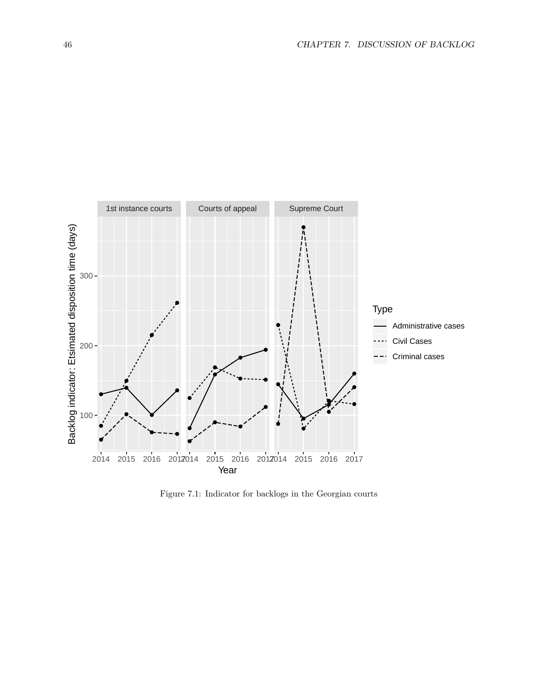<span id="page-45-0"></span>

Figure 7.1: Indicator for backlogs in the Georgian courts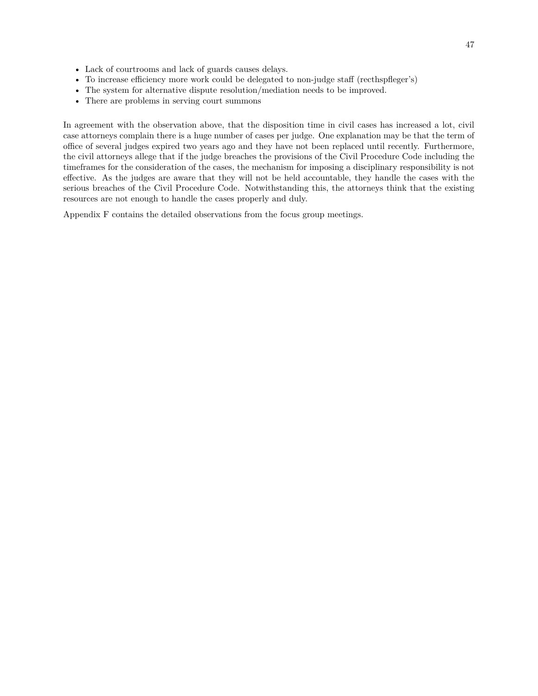- Lack of courtrooms and lack of guards causes delays.
- To increase efficiency more work could be delegated to non-judge staff (recthspfleger's)
- The system for alternative dispute resolution/mediation needs to be improved.
- There are problems in serving court summons

In agreement with the observation above, that the disposition time in civil cases has increased a lot, civil case attorneys complain there is a huge number of cases per judge. One explanation may be that the term of office of several judges expired two years ago and they have not been replaced until recently. Furthermore, the civil attorneys allege that if the judge breaches the provisions of the Civil Procedure Code including the timeframes for the consideration of the cases, the mechanism for imposing a disciplinary responsibility is not effective. As the judges are aware that they will not be held accountable, they handle the cases with the serious breaches of the Civil Procedure Code. Notwithstanding this, the attorneys think that the existing resources are not enough to handle the cases properly and duly.

Appendix F contains the detailed observations from the focus group meetings.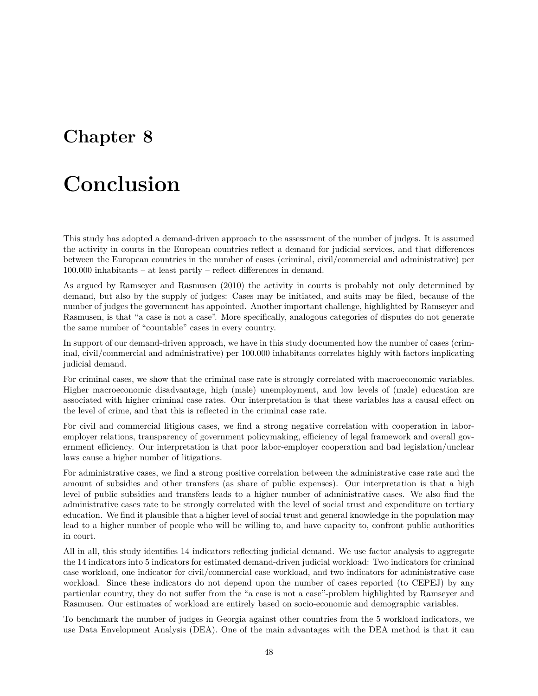### <span id="page-47-0"></span>**Chapter 8**

## **Conclusion**

This study has adopted a demand-driven approach to the assessment of the number of judges. It is assumed the activity in courts in the European countries reflect a demand for judicial services, and that differences between the European countries in the number of cases (criminal, civil/commercial and administrative) per 100.000 inhabitants – at least partly – reflect differences in demand.

As argued by Ramseyer and Rasmusen (2010) the activity in courts is probably not only determined by demand, but also by the supply of judges: Cases may be initiated, and suits may be filed, because of the number of judges the government has appointed. Another important challenge, highlighted by Ramseyer and Rasmusen, is that "a case is not a case". More specifically, analogous categories of disputes do not generate the same number of "countable" cases in every country.

In support of our demand-driven approach, we have in this study documented how the number of cases (criminal, civil/commercial and administrative) per 100.000 inhabitants correlates highly with factors implicating judicial demand.

For criminal cases, we show that the criminal case rate is strongly correlated with macroeconomic variables. Higher macroeconomic disadvantage, high (male) unemployment, and low levels of (male) education are associated with higher criminal case rates. Our interpretation is that these variables has a causal effect on the level of crime, and that this is reflected in the criminal case rate.

For civil and commercial litigious cases, we find a strong negative correlation with cooperation in laboremployer relations, transparency of government policymaking, efficiency of legal framework and overall government efficiency. Our interpretation is that poor labor-employer cooperation and bad legislation/unclear laws cause a higher number of litigations.

For administrative cases, we find a strong positive correlation between the administrative case rate and the amount of subsidies and other transfers (as share of public expenses). Our interpretation is that a high level of public subsidies and transfers leads to a higher number of administrative cases. We also find the administrative cases rate to be strongly correlated with the level of social trust and expenditure on tertiary education. We find it plausible that a higher level of social trust and general knowledge in the population may lead to a higher number of people who will be willing to, and have capacity to, confront public authorities in court.

All in all, this study identifies 14 indicators reflecting judicial demand. We use factor analysis to aggregate the 14 indicators into 5 indicators for estimated demand-driven judicial workload: Two indicators for criminal case workload, one indicator for civil/commercial case workload, and two indicators for administrative case workload. Since these indicators do not depend upon the number of cases reported (to CEPEJ) by any particular country, they do not suffer from the "a case is not a case"-problem highlighted by Ramseyer and Rasmusen. Our estimates of workload are entirely based on socio-economic and demographic variables.

To benchmark the number of judges in Georgia against other countries from the 5 workload indicators, we use Data Envelopment Analysis (DEA). One of the main advantages with the DEA method is that it can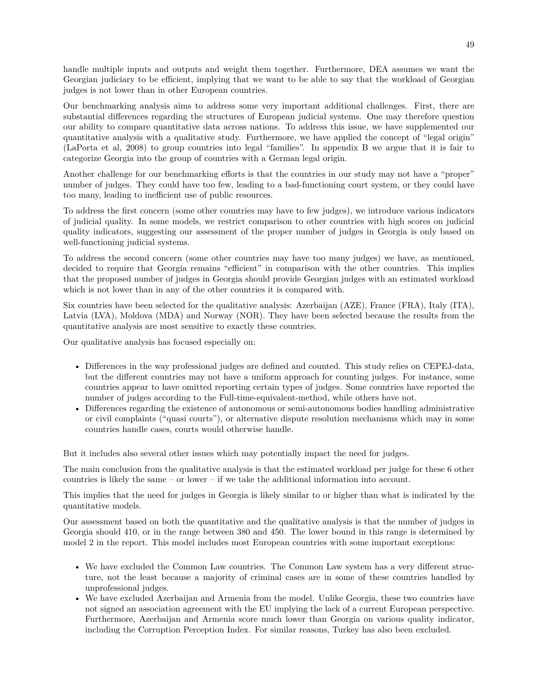handle multiple inputs and outputs and weight them together. Furthermore, DEA assumes we want the Georgian judiciary to be efficient, implying that we want to be able to say that the workload of Georgian judges is not lower than in other European countries.

Our benchmarking analysis aims to address some very important additional challenges. First, there are substantial differences regarding the structures of European judicial systems. One may therefore question our ability to compare quantitative data across nations. To address this issue, we have supplemented our quantitative analysis with a qualitative study. Furthermore, we have applied the concept of "legal origin" (LaPorta et al, 2008) to group countries into legal "families". In appendix B we argue that it is fair to categorize Georgia into the group of countries with a German legal origin.

Another challenge for our benchmarking efforts is that the countries in our study may not have a "proper" number of judges. They could have too few, leading to a bad-functioning court system, or they could have too many, leading to inefficient use of public resources.

To address the first concern (some other countries may have to few judges), we introduce various indicators of judicial quality. In some models, we restrict comparison to other countries with high scores on judicial quality indicators, suggesting our assessment of the proper number of judges in Georgia is only based on well-functioning judicial systems.

To address the second concern (some other countries may have too many judges) we have, as mentioned, decided to require that Georgia remains "efficient" in comparison with the other countries. This implies that the proposed number of judges in Georgia should provide Georgian judges with an estimated workload which is not lower than in any of the other countries it is compared with.

Six countries have been selected for the qualitative analysis: Azerbaijan (AZE), France (FRA), Italy (ITA), Latvia (LVA), Moldova (MDA) and Norway (NOR). They have been selected because the results from the quantitative analysis are most sensitive to exactly these countries.

Our qualitative analysis has focused especially on:

- Differences in the way professional judges are defined and counted. This study relies on CEPEJ-data, but the different countries may not have a uniform approach for counting judges. For instance, some countries appear to have omitted reporting certain types of judges. Some countries have reported the number of judges according to the Full-time-equivalent-method, while others have not.
- Differences regarding the existence of autonomous or semi-autonomous bodies handling administrative or civil complaints ("quasi courts"), or alternative dispute resolution mechanisms which may in some countries handle cases, courts would otherwise handle.

But it includes also several other issues which may potentially impact the need for judges.

The main conclusion from the qualitative analysis is that the estimated workload per judge for these 6 other countries is likely the same – or lower – if we take the additional information into account.

This implies that the need for judges in Georgia is likely similar to or higher than what is indicated by the quantitative models.

Our assessment based on both the quantitative and the qualitative analysis is that the number of judges in Georgia should 410, or in the range between 380 and 450. The lower bound in this range is determined by model 2 in the report. This model includes most European countries with some important exceptions:

- We have excluded the Common Law countries. The Common Law system has a very different structure, not the least because a majority of criminal cases are in some of these countries handled by unprofessional judges.
- We have excluded Azerbaijan and Armenia from the model. Unlike Georgia, these two countries have not signed an association agreement with the EU implying the lack of a current European perspective. Furthermore, Azerbaijan and Armenia score much lower than Georgia on various quality indicator, including the Corruption Perception Index. For similar reasons, Turkey has also been excluded.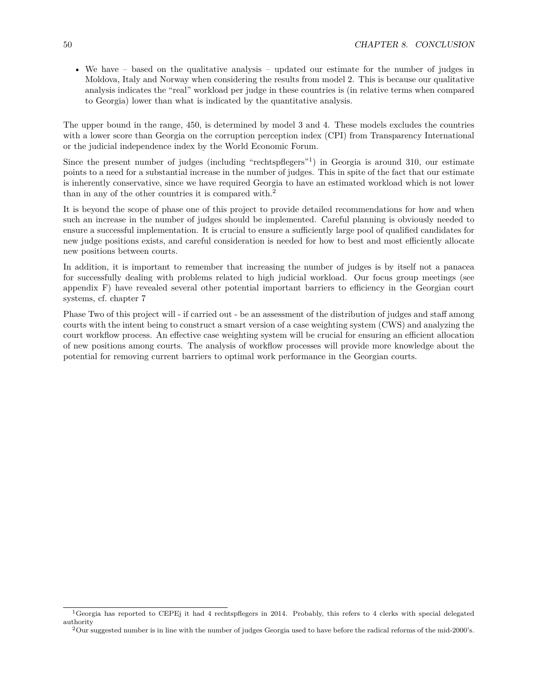• We have – based on the qualitative analysis – updated our estimate for the number of judges in Moldova, Italy and Norway when considering the results from model 2. This is because our qualitative analysis indicates the "real" workload per judge in these countries is (in relative terms when compared to Georgia) lower than what is indicated by the quantitative analysis.

The upper bound in the range, 450, is determined by model 3 and 4. These models excludes the countries with a lower score than Georgia on the corruption perception index (CPI) from Transparency International or the judicial independence index by the World Economic Forum.

Since the present number of judges (including "rechtspflegers"<sup>[1](#page-49-0)</sup>) in Georgia is around 310, our estimate points to a need for a substantial increase in the number of judges. This in spite of the fact that our estimate is inherently conservative, since we have required Georgia to have an estimated workload which is not lower than in any of the other countries it is compared with.<sup>[2](#page-49-1)</sup>

It is beyond the scope of phase one of this project to provide detailed recommendations for how and when such an increase in the number of judges should be implemented. Careful planning is obviously needed to ensure a successful implementation. It is crucial to ensure a sufficiently large pool of qualified candidates for new judge positions exists, and careful consideration is needed for how to best and most efficiently allocate new positions between courts.

In addition, it is important to remember that increasing the number of judges is by itself not a panacea for successfully dealing with problems related to high judicial workload. Our focus group meetings (see appendix F) have revealed several other potential important barriers to efficiency in the Georgian court systems, cf. chapter 7

Phase Two of this project will - if carried out - be an assessment of the distribution of judges and staff among courts with the intent being to construct a smart version of a case weighting system (CWS) and analyzing the court workflow process. An effective case weighting system will be crucial for ensuring an efficient allocation of new positions among courts. The analysis of workflow processes will provide more knowledge about the potential for removing current barriers to optimal work performance in the Georgian courts.

<span id="page-49-0"></span><sup>1</sup>Georgia has reported to CEPEj it had 4 rechtspflegers in 2014. Probably, this refers to 4 clerks with special delegated authority

<span id="page-49-1"></span><sup>2</sup>Our suggested number is in line with the number of judges Georgia used to have before the radical reforms of the mid-2000's.